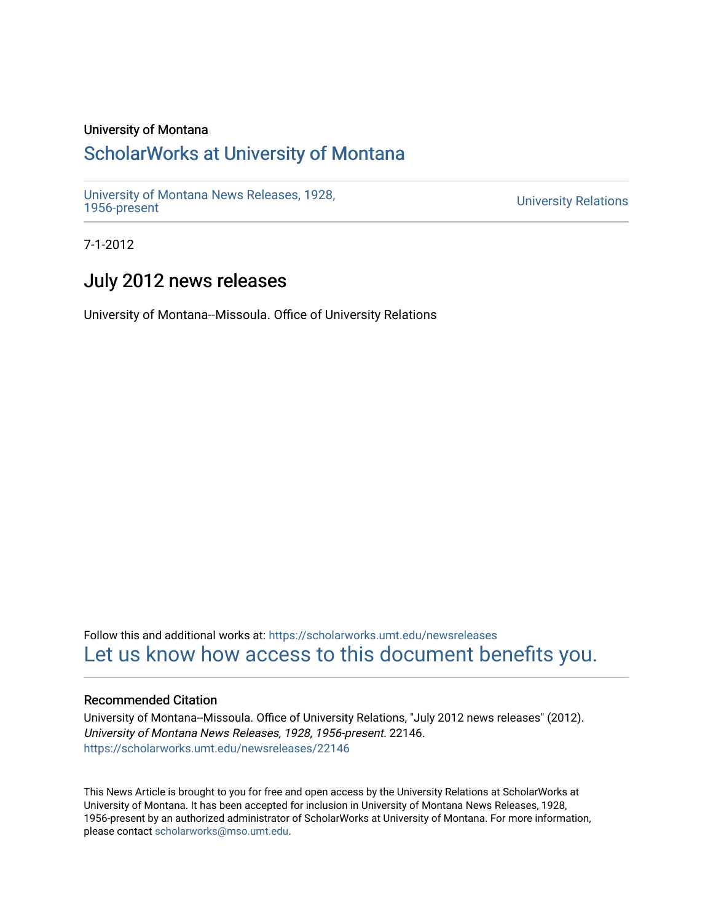## University of Montana

# [ScholarWorks at University of Montana](https://scholarworks.umt.edu/)

[University of Montana News Releases, 1928,](https://scholarworks.umt.edu/newsreleases) 

**University Relations** 

7-1-2012

# July 2012 news releases

University of Montana--Missoula. Office of University Relations

Follow this and additional works at: [https://scholarworks.umt.edu/newsreleases](https://scholarworks.umt.edu/newsreleases?utm_source=scholarworks.umt.edu%2Fnewsreleases%2F22146&utm_medium=PDF&utm_campaign=PDFCoverPages) [Let us know how access to this document benefits you.](https://goo.gl/forms/s2rGfXOLzz71qgsB2) 

### Recommended Citation

University of Montana--Missoula. Office of University Relations, "July 2012 news releases" (2012). University of Montana News Releases, 1928, 1956-present. 22146. [https://scholarworks.umt.edu/newsreleases/22146](https://scholarworks.umt.edu/newsreleases/22146?utm_source=scholarworks.umt.edu%2Fnewsreleases%2F22146&utm_medium=PDF&utm_campaign=PDFCoverPages) 

This News Article is brought to you for free and open access by the University Relations at ScholarWorks at University of Montana. It has been accepted for inclusion in University of Montana News Releases, 1928, 1956-present by an authorized administrator of ScholarWorks at University of Montana. For more information, please contact [scholarworks@mso.umt.edu.](mailto:scholarworks@mso.umt.edu)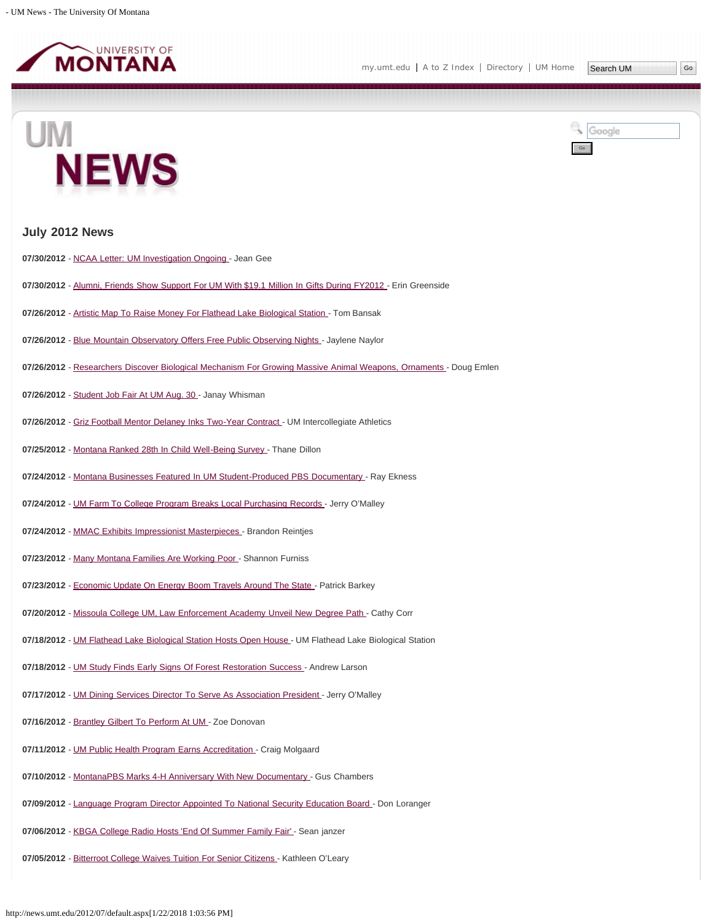

| <b>NEWS</b>                                                                                                       | Google |
|-------------------------------------------------------------------------------------------------------------------|--------|
| July 2012 News                                                                                                    |        |
| 07/30/2012 - NCAA Letter: UM Investigation Ongoing - Jean Gee                                                     |        |
| 07/30/2012 - Alumni, Friends Show Support For UM With \$19.1 Million In Gifts During FY2012 - Erin Greenside      |        |
| 07/26/2012 - Artistic Map To Raise Money For Flathead Lake Biological Station - Tom Bansak                        |        |
| 07/26/2012 - Blue Mountain Observatory Offers Free Public Observing Nights - Jaylene Naylor                       |        |
| 07/26/2012 - Researchers Discover Biological Mechanism For Growing Massive Animal Weapons, Ornaments - Doug Emlen |        |
| 07/26/2012 - Student Job Fair At UM Aug. 30 - Janay Whisman                                                       |        |
| 07/26/2012 - Griz Football Mentor Delaney Inks Two-Year Contract - UM Intercollegiate Athletics                   |        |
| 07/25/2012 - Montana Ranked 28th In Child Well-Being Survey - Thane Dillon                                        |        |
| 07/24/2012 - Montana Businesses Featured In UM Student-Produced PBS Documentary - Ray Ekness                      |        |
| 07/24/2012 - UM Farm To College Program Breaks Local Purchasing Records - Jerry O'Malley                          |        |
| 07/24/2012 - MMAC Exhibits Impressionist Masterpieces - Brandon Reintjes                                          |        |
| 07/23/2012 - Many Montana Families Are Working Poor - Shannon Furniss                                             |        |
| 07/23/2012 - Economic Update On Energy Boom Travels Around The State - Patrick Barkey                             |        |
| 07/20/2012 - Missoula College UM, Law Enforcement Academy Unveil New Degree Path - Cathy Corr                     |        |
| 07/18/2012 - UM Flathead Lake Biological Station Hosts Open House - UM Flathead Lake Biological Station           |        |
| 07/18/2012 - UM Study Finds Early Signs Of Forest Restoration Success - Andrew Larson                             |        |
| 07/17/2012 - UM Dining Services Director To Serve As Association President - Jerry O'Malley                       |        |
| 07/16/2012 - Brantley Gilbert To Perform At UM - Zoe Donovan                                                      |        |
| 07/11/2012 - UM Public Health Program Earns Accreditation - Craig Molgaard                                        |        |
| 07/10/2012 - MontanaPBS Marks 4-H Anniversary With New Documentary - Gus Chambers                                 |        |
| 07/09/2012 - Language Program Director Appointed To National Security Education Board - Don Loranger              |        |
| 07/06/2012 - KBGA College Radio Hosts 'End Of Summer Family Fair' - Sean janzer                                   |        |
| 07/05/2012 - Bitterroot College Waives Tuition For Senior Citizens - Kathleen O'Leary                             |        |
|                                                                                                                   |        |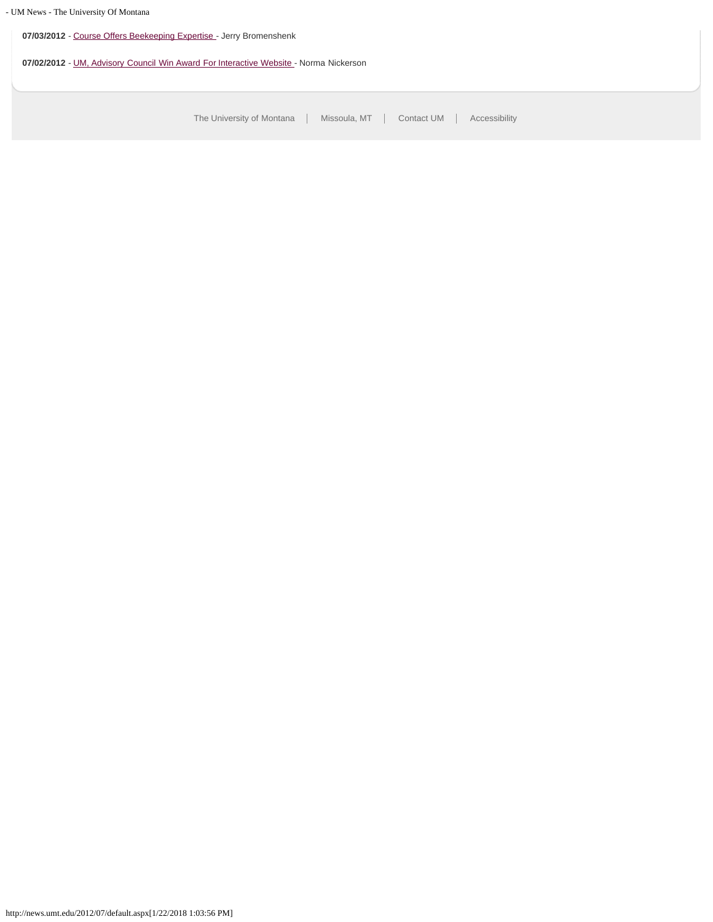**07/03/2012** - [Course Offers Beekeeping Expertise -](#page-33-0) Jerry Bromenshenk

07/02/2012 - [UM, Advisory Council Win Award For Interactive Website -](#page-34-0) Norma Nickerson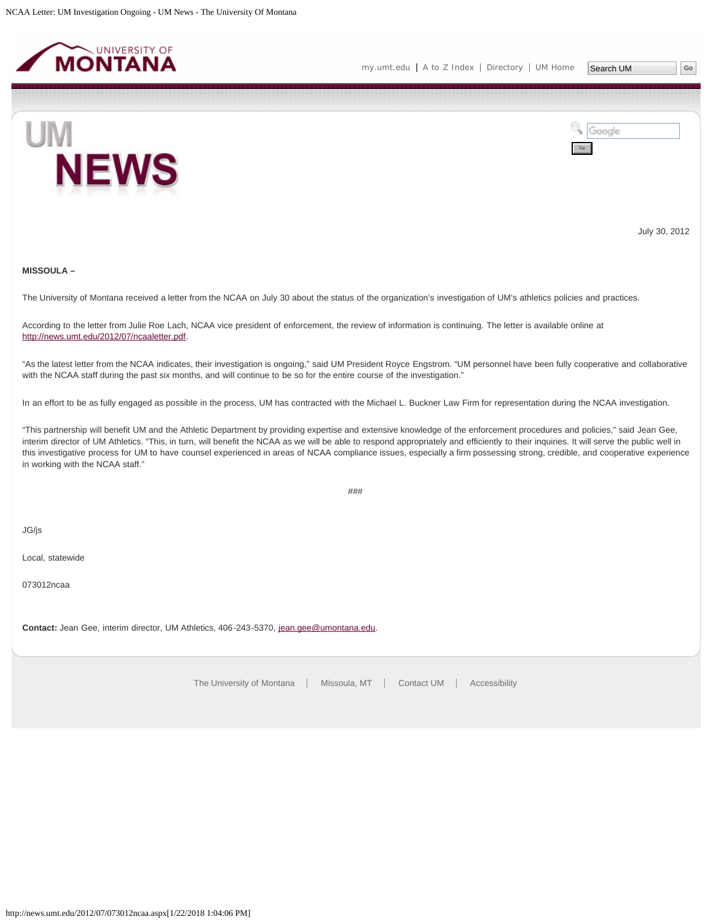<span id="page-3-0"></span>



July 30, 2012

#### **MISSOULA –**

The University of Montana received a letter from the NCAA on July 30 about the status of the organization's investigation of UM's athletics policies and practices.

According to the letter from Julie Roe Lach, NCAA vice president of enforcement, the review of information is continuing. The letter is available online at [http://news.umt.edu/2012/07/ncaaletter.pdf.](http://news.umt.edu/2012/07/ncaaletter.pdf)

"As the latest letter from the NCAA indicates, their investigation is ongoing," said UM President Royce Engstrom. "UM personnel have been fully cooperative and collaborative with the NCAA staff during the past six months, and will continue to be so for the entire course of the investigation."

In an effort to be as fully engaged as possible in the process, UM has contracted with the Michael L. Buckner Law Firm for representation during the NCAA investigation.

"This partnership will benefit UM and the Athletic Department by providing expertise and extensive knowledge of the enforcement procedures and policies," said Jean Gee, interim director of UM Athletics. "This, in turn, will benefit the NCAA as we will be able to respond appropriately and efficiently to their inquiries. It will serve the public well in this investigative process for UM to have counsel experienced in areas of NCAA compliance issues, especially a firm possessing strong, credible, and cooperative experience in working with the NCAA staff."

###

JG/js

Local, statewide

073012ncaa

**Contact:** Jean Gee, interim director, UM Athletics, 406-243-5370, [jean.gee@umontana.edu](mailto:jean.gee@umontana.edu).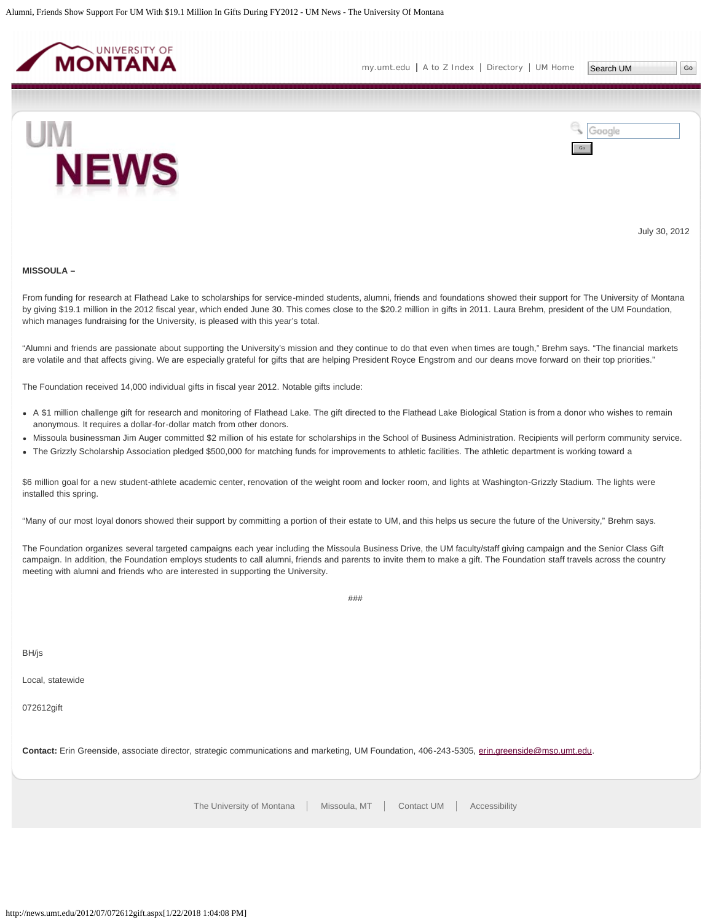<span id="page-4-0"></span>

[my.umt.edu](http://my.umt.edu/) | [A to Z Index](http://www.umt.edu/search/atoz/) | [Directory](http://www.umt.edu/directory/) | [UM Home](http://www.umt.edu/)

Search UM



Google Go

July 30, 2012

#### **MISSOULA –**

From funding for research at Flathead Lake to scholarships for service-minded students, alumni, friends and foundations showed their support for The University of Montana by giving \$19.1 million in the 2012 fiscal year, which ended June 30. This comes close to the \$20.2 million in gifts in 2011. Laura Brehm, president of the UM Foundation, which manages fundraising for the University, is pleased with this year's total.

"Alumni and friends are passionate about supporting the University's mission and they continue to do that even when times are tough," Brehm says. "The financial markets are volatile and that affects giving. We are especially grateful for gifts that are helping President Royce Engstrom and our deans move forward on their top priorities."

The Foundation received 14,000 individual gifts in fiscal year 2012. Notable gifts include:

- A \$1 million challenge gift for research and monitoring of Flathead Lake. The gift directed to the Flathead Lake Biological Station is from a donor who wishes to remain anonymous. It requires a dollar-for-dollar match from other donors.
- Missoula businessman Jim Auger committed \$2 million of his estate for scholarships in the School of Business Administration. Recipients will perform community service.
- . The Grizzly Scholarship Association pledged \$500,000 for matching funds for improvements to athletic facilities. The athletic department is working toward a

\$6 million goal for a new student-athlete academic center, renovation of the weight room and locker room, and lights at Washington-Grizzly Stadium. The lights were installed this spring.

"Many of our most loyal donors showed their support by committing a portion of their estate to UM, and this helps us secure the future of the University," Brehm says.

The Foundation organizes several targeted campaigns each year including the Missoula Business Drive, the UM faculty/staff giving campaign and the Senior Class Gift campaign. In addition, the Foundation employs students to call alumni, friends and parents to invite them to make a gift. The Foundation staff travels across the country meeting with alumni and friends who are interested in supporting the University.

###

BH/js

Local, statewide

072612gift

**Contact:** Erin Greenside, associate director, strategic communications and marketing, UM Foundation, 406-243-5305, [erin.greenside@mso.umt.edu](mailto:erin.greenside@mso.umt.edu).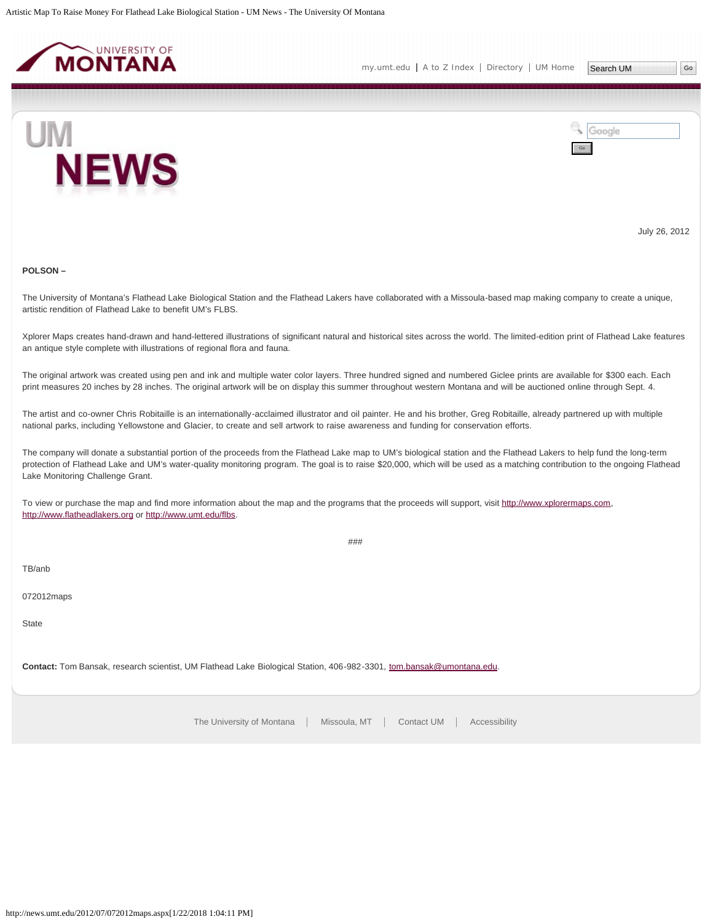<span id="page-5-0"></span>



July 26, 2012

#### **POLSON –**

The University of Montana's Flathead Lake Biological Station and the Flathead Lakers have collaborated with a Missoula-based map making company to create a unique, artistic rendition of Flathead Lake to benefit UM's FLBS.

Xplorer Maps creates hand-drawn and hand-lettered illustrations of significant natural and historical sites across the world. The limited-edition print of Flathead Lake features an antique style complete with illustrations of regional flora and fauna.

The original artwork was created using pen and ink and multiple water color layers. Three hundred signed and numbered Giclee prints are available for \$300 each. Each print measures 20 inches by 28 inches. The original artwork will be on display this summer throughout western Montana and will be auctioned online through Sept. 4.

The artist and co-owner Chris Robitaille is an internationally-acclaimed illustrator and oil painter. He and his brother, Greg Robitaille, already partnered up with multiple national parks, including Yellowstone and Glacier, to create and sell artwork to raise awareness and funding for conservation efforts.

The company will donate a substantial portion of the proceeds from the Flathead Lake map to UM's biological station and the Flathead Lakers to help fund the long-term protection of Flathead Lake and UM's water-quality monitoring program. The goal is to raise \$20,000, which will be used as a matching contribution to the ongoing Flathead Lake Monitoring Challenge Grant.

###

To view or purchase the map and find more information about the map and the programs that the proceeds will support, visit [http://www.xplorermaps.com,](http://www.xplorermaps.com/) [http://www.flatheadlakers.org](http://www.flatheadlakers.org/) or<http://www.umt.edu/flbs>.

TB/anb

072012maps

**State** 

**Contact:** Tom Bansak, research scientist, UM Flathead Lake Biological Station, 406-982-3301, [tom.bansak@umontana.edu](mailto:tom.bansak@umontana.edu).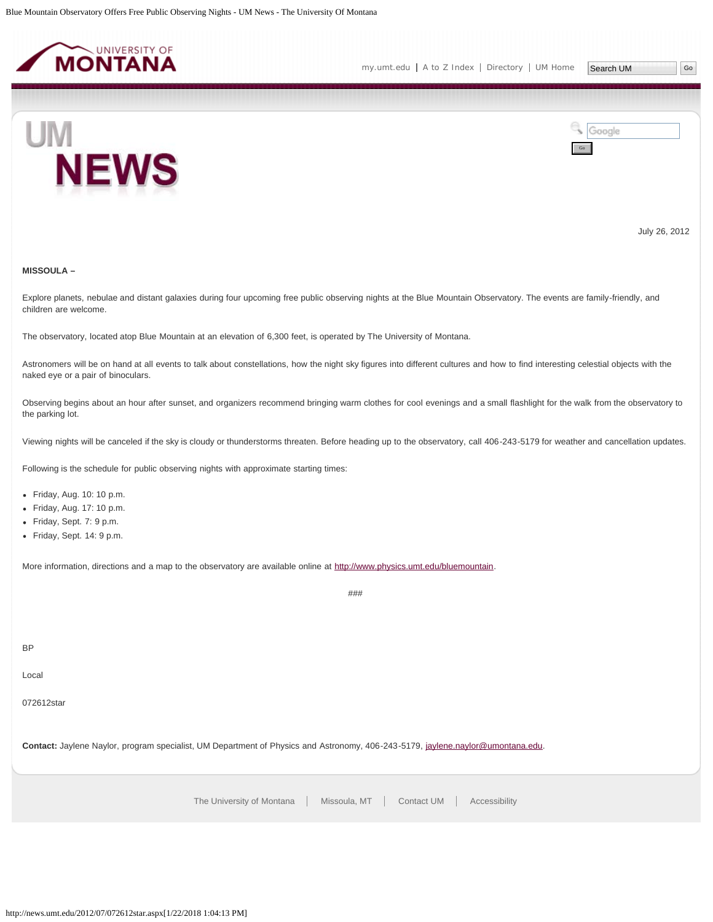<span id="page-6-0"></span>

Go

Google



July 26, 2012

#### **MISSOULA –**

Explore planets, nebulae and distant galaxies during four upcoming free public observing nights at the Blue Mountain Observatory. The events are family-friendly, and children are welcome.

The observatory, located atop Blue Mountain at an elevation of 6,300 feet, is operated by The University of Montana.

Astronomers will be on hand at all events to talk about constellations, how the night sky figures into different cultures and how to find interesting celestial objects with the naked eye or a pair of binoculars.

Observing begins about an hour after sunset, and organizers recommend bringing warm clothes for cool evenings and a small flashlight for the walk from the observatory to the parking lot.

Viewing nights will be canceled if the sky is cloudy or thunderstorms threaten. Before heading up to the observatory, call 406-243-5179 for weather and cancellation updates.

Following is the schedule for public observing nights with approximate starting times:

- Friday, Aug. 10: 10 p.m.
- Friday, Aug. 17: 10 p.m.
- Friday, Sept. 7: 9 p.m.
- Friday, Sept. 14: 9 p.m.

More information, directions and a map to the observatory are available online at<http://www.physics.umt.edu/bluemountain>.

###

BP

Local

072612star

**Contact:** Jaylene Naylor, program specialist, UM Department of Physics and Astronomy, 406-243-5179, [jaylene.naylor@umontana.edu](mailto:jaylene.naylor@umontana.edu).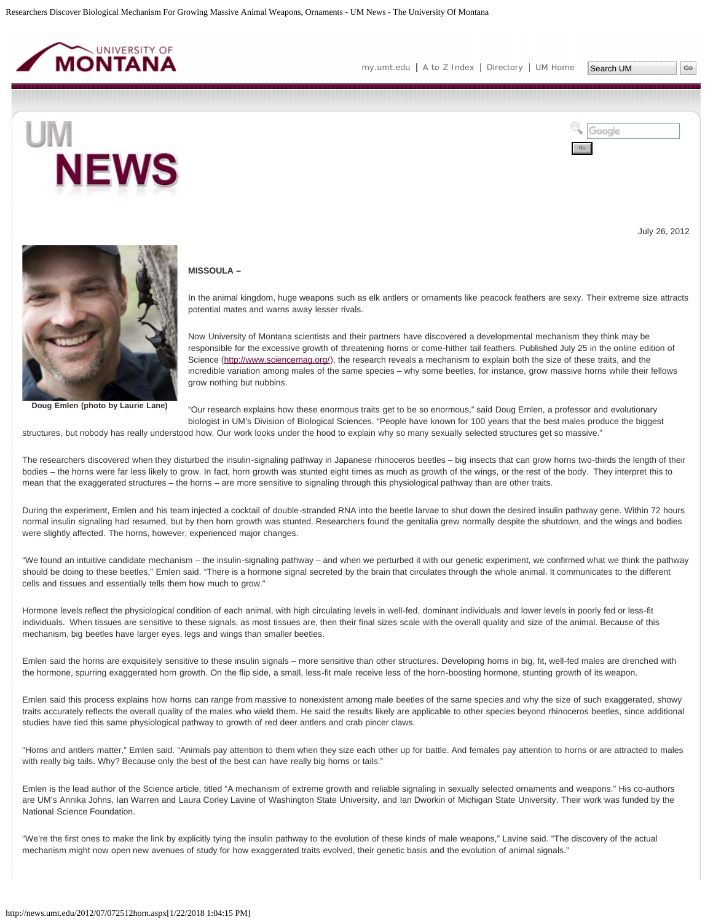<span id="page-7-0"></span>

[my.umt.edu](http://my.umt.edu/) | [A to Z Index](http://www.umt.edu/search/atoz/) | [Directory](http://www.umt.edu/directory/) | [UM Home](http://www.umt.edu/)

Search UM

# **NEWS**

Google Go

July 26, 2012



**MISSOULA –**

In the animal kingdom, huge weapons such as elk antlers or ornaments like peacock feathers are sexy. Their extreme size attracts potential mates and warns away lesser rivals.

Now University of Montana scientists and their partners have discovered a developmental mechanism they think may be responsible for the excessive growth of threatening horns or come-hither tail feathers. Published July 25 in the online edition of Science [\(http://www.sciencemag.org/](http://www.sciencemag.org/)), the research reveals a mechanism to explain both the size of these traits, and the incredible variation among males of the same species – why some beetles, for instance, grow massive horns while their fellows grow nothing but nubbins.

**Doug Emlen (photo by Laurie Lane)**

"Our research explains how these enormous traits get to be so enormous," said Doug Emlen, a professor and evolutionary biologist in UM's Division of Biological Sciences. "People have known for 100 years that the best males produce the biggest

structures, but nobody has really understood how. Our work looks under the hood to explain why so many sexually selected structures get so massive."

The researchers discovered when they disturbed the insulin-signaling pathway in Japanese rhinoceros beetles – big insects that can grow horns two-thirds the length of their bodies – the horns were far less likely to grow. In fact, horn growth was stunted eight times as much as growth of the wings, or the rest of the body. They interpret this to mean that the exaggerated structures – the horns – are more sensitive to signaling through this physiological pathway than are other traits.

During the experiment, Emlen and his team injected a cocktail of double-stranded RNA into the beetle larvae to shut down the desired insulin pathway gene. Within 72 hours normal insulin signaling had resumed, but by then horn growth was stunted. Researchers found the genitalia grew normally despite the shutdown, and the wings and bodies were slightly affected. The horns, however, experienced major changes.

"We found an intuitive candidate mechanism – the insulin-signaling pathway – and when we perturbed it with our genetic experiment, we confirmed what we think the pathway should be doing to these beetles," Emlen said. "There is a hormone signal secreted by the brain that circulates through the whole animal. It communicates to the different cells and tissues and essentially tells them how much to grow."

Hormone levels reflect the physiological condition of each animal, with high circulating levels in well-fed, dominant individuals and lower levels in poorly fed or less-fit individuals. When tissues are sensitive to these signals, as most tissues are, then their final sizes scale with the overall quality and size of the animal. Because of this mechanism, big beetles have larger eyes, legs and wings than smaller beetles.

Emlen said the horns are exquisitely sensitive to these insulin signals – more sensitive than other structures. Developing horns in big, fit, well-fed males are drenched with the hormone, spurring exaggerated horn growth. On the flip side, a small, less-fit male receive less of the horn-boosting hormone, stunting growth of its weapon.

Emlen said this process explains how horns can range from massive to nonexistent among male beetles of the same species and why the size of such exaggerated, showy traits accurately reflects the overall quality of the males who wield them. He said the results likely are applicable to other species beyond rhinoceros beetles, since additional studies have tied this same physiological pathway to growth of red deer antlers and crab pincer claws.

"Horns and antlers matter," Emlen said. "Animals pay attention to them when they size each other up for battle. And females pay attention to horns or are attracted to males with really big tails. Why? Because only the best of the best can have really big horns or tails."

Emlen is the lead author of the Science article, titled "A mechanism of extreme growth and reliable signaling in sexually selected ornaments and weapons." His co-authors are UM's Annika Johns, Ian Warren and Laura Corley Lavine of Washington State University, and Ian Dworkin of Michigan State University. Their work was funded by the National Science Foundation.

"We're the first ones to make the link by explicitly tying the insulin pathway to the evolution of these kinds of male weapons," Lavine said. "The discovery of the actual mechanism might now open new avenues of study for how exaggerated traits evolved, their genetic basis and the evolution of animal signals."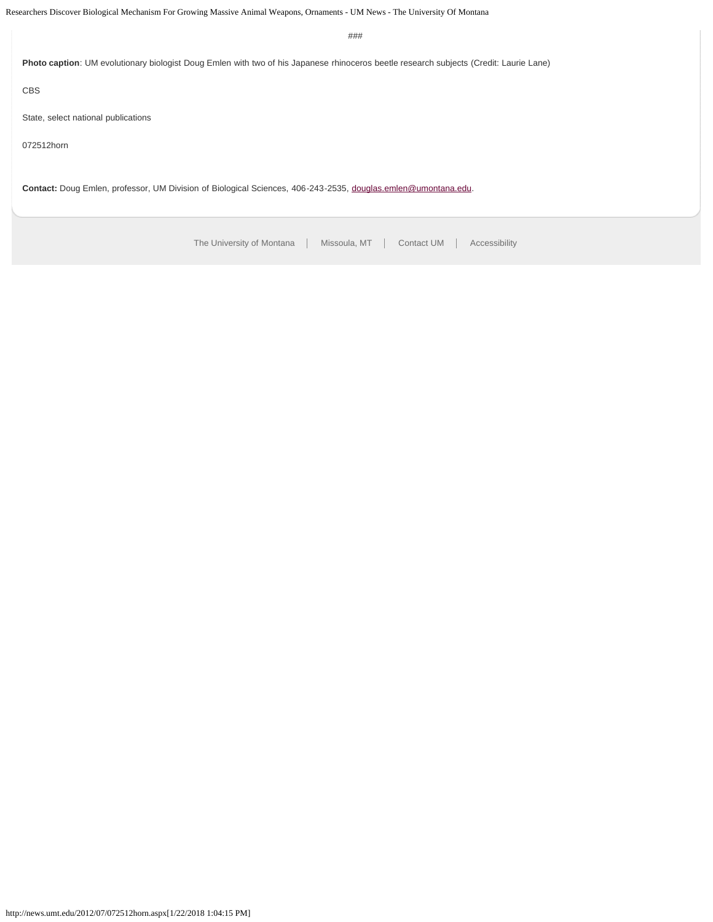Researchers Discover Biological Mechanism For Growing Massive Animal Weapons, Ornaments - UM News - The University Of Montana

### **Photo caption**: UM evolutionary biologist Doug Emlen with two of his Japanese rhinoceros beetle research subjects (Credit: Laurie Lane) CBS State, select national publications 072512horn **Contact:** Doug Emlen, professor, UM Division of Biological Sciences, 406-243-2535, [douglas.emlen@umontana.edu](mailto:douglas.emlen@umontana.edu).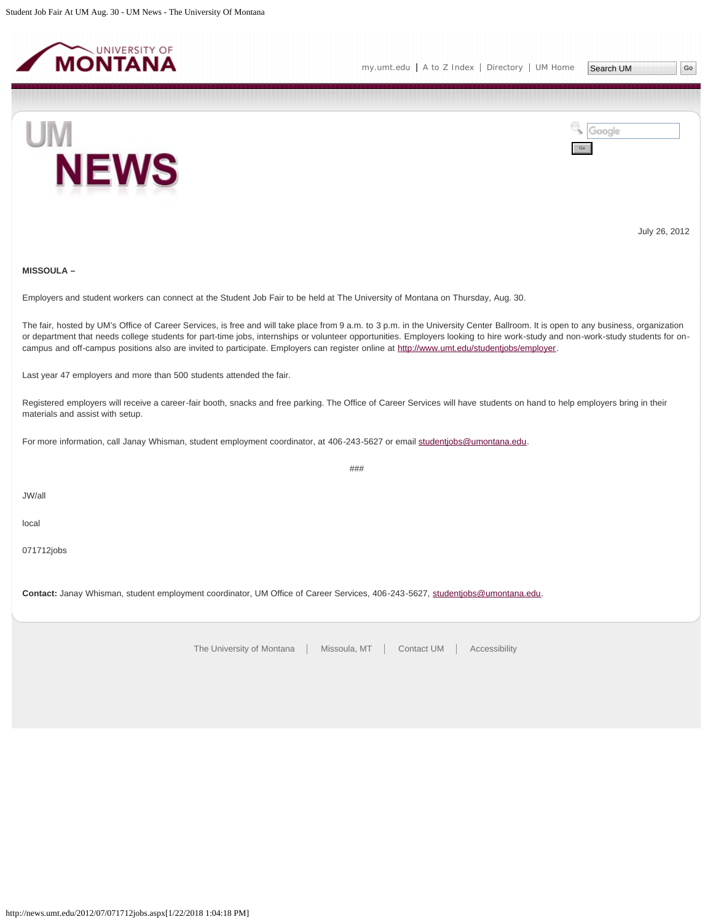<span id="page-9-0"></span>



July 26, 2012

#### **MISSOULA –**

Employers and student workers can connect at the Student Job Fair to be held at The University of Montana on Thursday, Aug. 30.

The fair, hosted by UM's Office of Career Services, is free and will take place from 9 a.m. to 3 p.m. in the University Center Ballroom. It is open to any business, organization or department that needs college students for part-time jobs, internships or volunteer opportunities. Employers looking to hire work-study and non-work-study students for oncampus and off-campus positions also are invited to participate. Employers can register online at [http://www.umt.edu/studentjobs/employer.](http://www.umt.edu/studentjobs/employer)

Last year 47 employers and more than 500 students attended the fair.

Registered employers will receive a career-fair booth, snacks and free parking. The Office of Career Services will have students on hand to help employers bring in their materials and assist with setup.

###

For more information, call Janay Whisman, student employment coordinator, at 406-243-5627 or email [studentjobs@umontana.edu.](mailto:studentjobs@umontana.edu)

JW/all

local

071712jobs

**Contact:** Janay Whisman, student employment coordinator, UM Office of Career Services, 406-243-5627, [studentjobs@umontana.edu.](mailto:studentjobs@umontana.edu)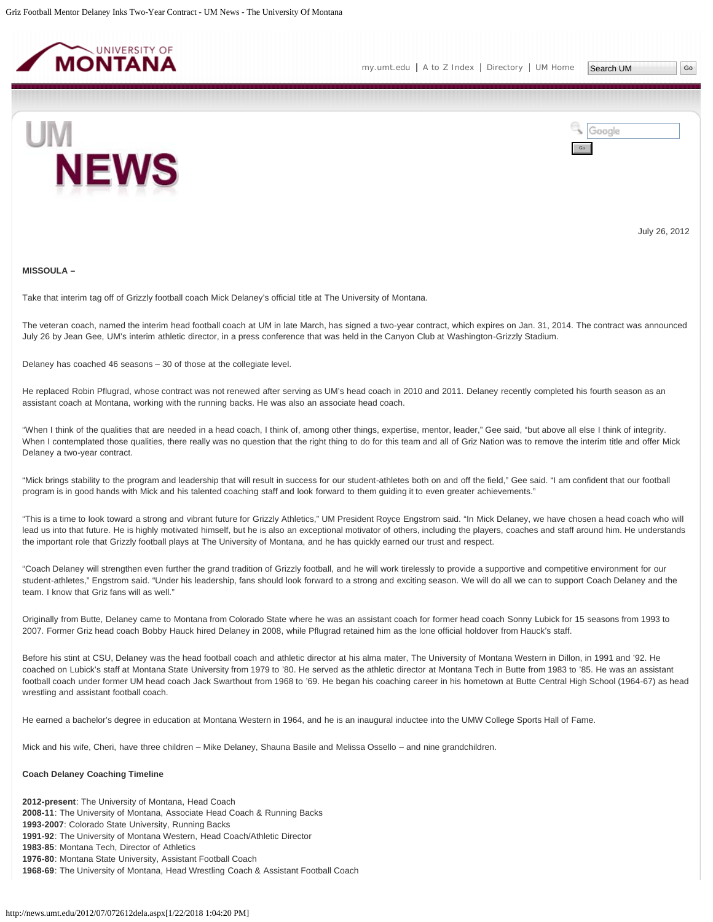<span id="page-10-0"></span>



July 26, 2012

#### **MISSOULA –**

Take that interim tag off of Grizzly football coach Mick Delaney's official title at The University of Montana.

The veteran coach, named the interim head football coach at UM in late March, has signed a two-year contract, which expires on Jan. 31, 2014. The contract was announced July 26 by Jean Gee, UM's interim athletic director, in a press conference that was held in the Canyon Club at Washington-Grizzly Stadium.

Delaney has coached 46 seasons – 30 of those at the collegiate level.

He replaced Robin Pflugrad, whose contract was not renewed after serving as UM's head coach in 2010 and 2011. Delaney recently completed his fourth season as an assistant coach at Montana, working with the running backs. He was also an associate head coach.

"When I think of the qualities that are needed in a head coach, I think of, among other things, expertise, mentor, leader," Gee said, "but above all else I think of integrity. When I contemplated those qualities, there really was no question that the right thing to do for this team and all of Griz Nation was to remove the interim title and offer Mick Delaney a two-year contract.

"Mick brings stability to the program and leadership that will result in success for our student-athletes both on and off the field," Gee said. "I am confident that our football program is in good hands with Mick and his talented coaching staff and look forward to them guiding it to even greater achievements."

"This is a time to look toward a strong and vibrant future for Grizzly Athletics," UM President Royce Engstrom said. "In Mick Delaney, we have chosen a head coach who will lead us into that future. He is highly motivated himself, but he is also an exceptional motivator of others, including the players, coaches and staff around him. He understands the important role that Grizzly football plays at The University of Montana, and he has quickly earned our trust and respect.

"Coach Delaney will strengthen even further the grand tradition of Grizzly football, and he will work tirelessly to provide a supportive and competitive environment for our student-athletes," Engstrom said. "Under his leadership, fans should look forward to a strong and exciting season. We will do all we can to support Coach Delaney and the team. I know that Griz fans will as well."

Originally from Butte, Delaney came to Montana from Colorado State where he was an assistant coach for former head coach Sonny Lubick for 15 seasons from 1993 to 2007. Former Griz head coach Bobby Hauck hired Delaney in 2008, while Pflugrad retained him as the lone official holdover from Hauck's staff.

Before his stint at CSU, Delaney was the head football coach and athletic director at his alma mater, The University of Montana Western in Dillon, in 1991 and '92. He coached on Lubick's staff at Montana State University from 1979 to '80. He served as the athletic director at Montana Tech in Butte from 1983 to '85. He was an assistant football coach under former UM head coach Jack Swarthout from 1968 to '69. He began his coaching career in his hometown at Butte Central High School (1964-67) as head wrestling and assistant football coach.

He earned a bachelor's degree in education at Montana Western in 1964, and he is an inaugural inductee into the UMW College Sports Hall of Fame.

Mick and his wife, Cheri, have three children – Mike Delaney, Shauna Basile and Melissa Ossello – and nine grandchildren.

#### **Coach Delaney Coaching Timeline**

**2012-present**: The University of Montana, Head Coach

- **2008-11**: The University of Montana, Associate Head Coach & Running Backs
- **1993-2007**: Colorado State University, Running Backs
- **1991-92**: The University of Montana Western, Head Coach/Athletic Director
- **1983-85**: Montana Tech, Director of Athletics
- **1976-80**: Montana State University, Assistant Football Coach
- **1968-69**: The University of Montana, Head Wrestling Coach & Assistant Football Coach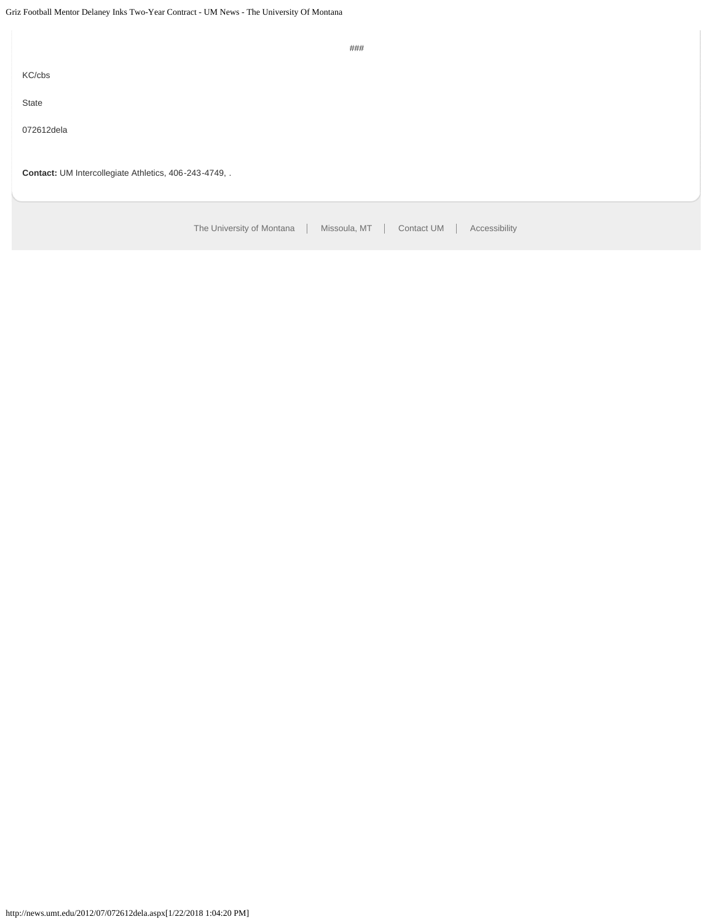Griz Football Mentor Delaney Inks Two-Year Contract - UM News - The University Of Montana

| ###                                                                      |  |
|--------------------------------------------------------------------------|--|
| KC/cbs                                                                   |  |
| State                                                                    |  |
| 072612dela                                                               |  |
| Contact: UM Intercollegiate Athletics, 406-243-4749, .                   |  |
| The University of Montana   Missoula, MT   Contact UM  <br>Accessibility |  |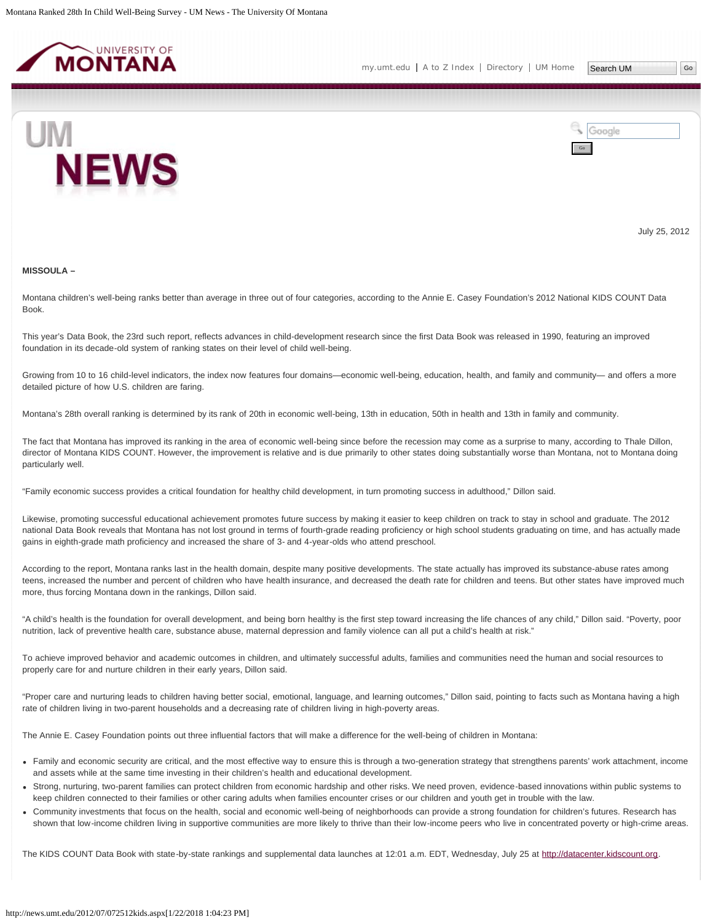<span id="page-12-0"></span>



July 25, 2012

#### **MISSOULA –**

Montana children's well-being ranks better than average in three out of four categories, according to the Annie E. Casey Foundation's 2012 National KIDS COUNT Data Book.

This year's Data Book, the 23rd such report, reflects advances in child-development research since the first Data Book was released in 1990, featuring an improved foundation in its decade-old system of ranking states on their level of child well-being.

Growing from 10 to 16 child-level indicators, the index now features four domains—economic well-being, education, health, and family and community— and offers a more detailed picture of how U.S. children are faring.

Montana's 28th overall ranking is determined by its rank of 20th in economic well-being, 13th in education, 50th in health and 13th in family and community.

The fact that Montana has improved its ranking in the area of economic well-being since before the recession may come as a surprise to many, according to Thale Dillon, director of Montana KIDS COUNT. However, the improvement is relative and is due primarily to other states doing substantially worse than Montana, not to Montana doing particularly well.

"Family economic success provides a critical foundation for healthy child development, in turn promoting success in adulthood," Dillon said.

Likewise, promoting successful educational achievement promotes future success by making it easier to keep children on track to stay in school and graduate. The 2012 national Data Book reveals that Montana has not lost ground in terms of fourth-grade reading proficiency or high school students graduating on time, and has actually made gains in eighth-grade math proficiency and increased the share of 3- and 4-year-olds who attend preschool.

According to the report, Montana ranks last in the health domain, despite many positive developments. The state actually has improved its substance-abuse rates among teens, increased the number and percent of children who have health insurance, and decreased the death rate for children and teens. But other states have improved much more, thus forcing Montana down in the rankings, Dillon said.

"A child's health is the foundation for overall development, and being born healthy is the first step toward increasing the life chances of any child," Dillon said. "Poverty, poor nutrition, lack of preventive health care, substance abuse, maternal depression and family violence can all put a child's health at risk."

To achieve improved behavior and academic outcomes in children, and ultimately successful adults, families and communities need the human and social resources to properly care for and nurture children in their early years, Dillon said.

"Proper care and nurturing leads to children having better social, emotional, language, and learning outcomes," Dillon said, pointing to facts such as Montana having a high rate of children living in two-parent households and a decreasing rate of children living in high-poverty areas.

The Annie E. Casey Foundation points out three influential factors that will make a difference for the well-being of children in Montana:

- Family and economic security are critical, and the most effective way to ensure this is through a two-generation strategy that strengthens parents' work attachment, income and assets while at the same time investing in their children's health and educational development.
- Strong, nurturing, two-parent families can protect children from economic hardship and other risks. We need proven, evidence-based innovations within public systems to keep children connected to their families or other caring adults when families encounter crises or our children and youth get in trouble with the law.
- Community investments that focus on the health, social and economic well-being of neighborhoods can provide a strong foundation for children's futures. Research has shown that low-income children living in supportive communities are more likely to thrive than their low-income peers who live in concentrated poverty or high-crime areas.

The KIDS COUNT Data Book with state-by-state rankings and supplemental data launches at 12:01 a.m. EDT, Wednesday, July 25 at [http://datacenter.kidscount.org.](http://datacenter.kidscount.org/)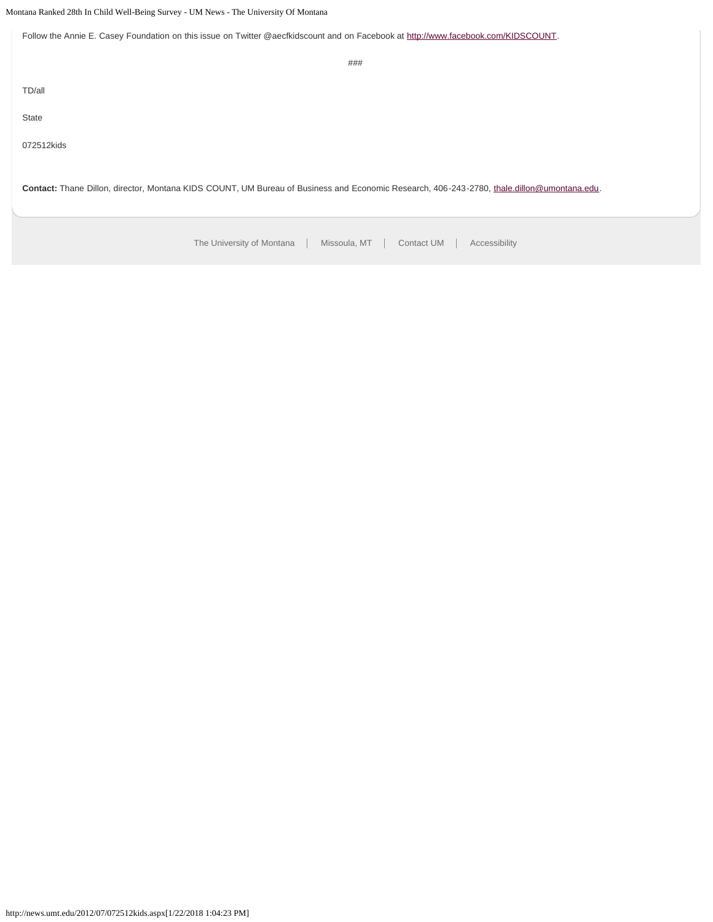Montana Ranked 28th In Child Well-Being Survey - UM News - The University Of Montana

[The University of Montana](http://www.umt.edu/) | Missoula, MT | [Contact UM](http://www.umt.edu/comments) | [Accessibility](http://www.umt.edu/home/accessibility) Follow the Annie E. Casey Foundation on this issue on Twitter @aecfkidscount and on Facebook at [http://www.facebook.com/KIDSCOUNT.](http://www.facebook.com/KIDSCOUNT) ### TD/all State 072512kids **Contact:** Thane Dillon, director, Montana KIDS COUNT, UM Bureau of Business and Economic Research, 406-243-2780, [thale.dillon@umontana.edu.](mailto:thale.dillon@umontana.edu)

http://news.umt.edu/2012/07/072512kids.aspx[1/22/2018 1:04:23 PM]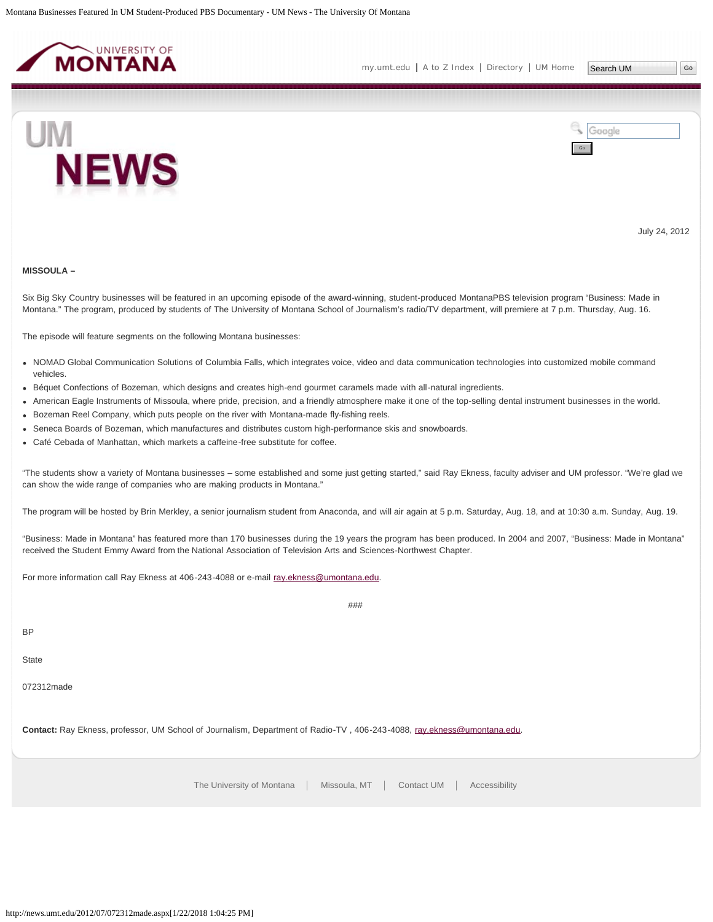<span id="page-14-0"></span>



July 24, 2012

#### **MISSOULA –**

Six Big Sky Country businesses will be featured in an upcoming episode of the award-winning, student-produced MontanaPBS television program "Business: Made in Montana." The program, produced by students of The University of Montana School of Journalism's radio/TV department, will premiere at 7 p.m. Thursday, Aug. 16.

The episode will feature segments on the following Montana businesses:

- NOMAD Global Communication Solutions of Columbia Falls, which integrates voice, video and data communication technologies into customized mobile command vehicles.
- Béquet Confections of Bozeman, which designs and creates high-end gourmet caramels made with all-natural ingredients.
- American Eagle Instruments of Missoula, where pride, precision, and a friendly atmosphere make it one of the top-selling dental instrument businesses in the world.
- **Bozeman Reel Company, which puts people on the river with Montana-made fly-fishing reels.**
- Seneca Boards of Bozeman, which manufactures and distributes custom high-performance skis and snowboards.
- Café Cebada of Manhattan, which markets a caffeine-free substitute for coffee.

"The students show a variety of Montana businesses – some established and some just getting started," said Ray Ekness, faculty adviser and UM professor. "We're glad we can show the wide range of companies who are making products in Montana."

The program will be hosted by Brin Merkley, a senior journalism student from Anaconda, and will air again at 5 p.m. Saturday, Aug. 18, and at 10:30 a.m. Sunday, Aug. 19.

"Business: Made in Montana" has featured more than 170 businesses during the 19 years the program has been produced. In 2004 and 2007, "Business: Made in Montana" received the Student Emmy Award from the National Association of Television Arts and Sciences-Northwest Chapter.

###

For more information call Ray Ekness at 406-243-4088 or e-mail [ray.ekness@umontana.edu.](mailto:ray.ekness@umontana.edu)

BP

**State** 

072312made

**Contact:** Ray Ekness, professor, UM School of Journalism, Department of Radio-TV , 406-243-4088, [ray.ekness@umontana.edu](mailto:ray.ekness@umontana.edu).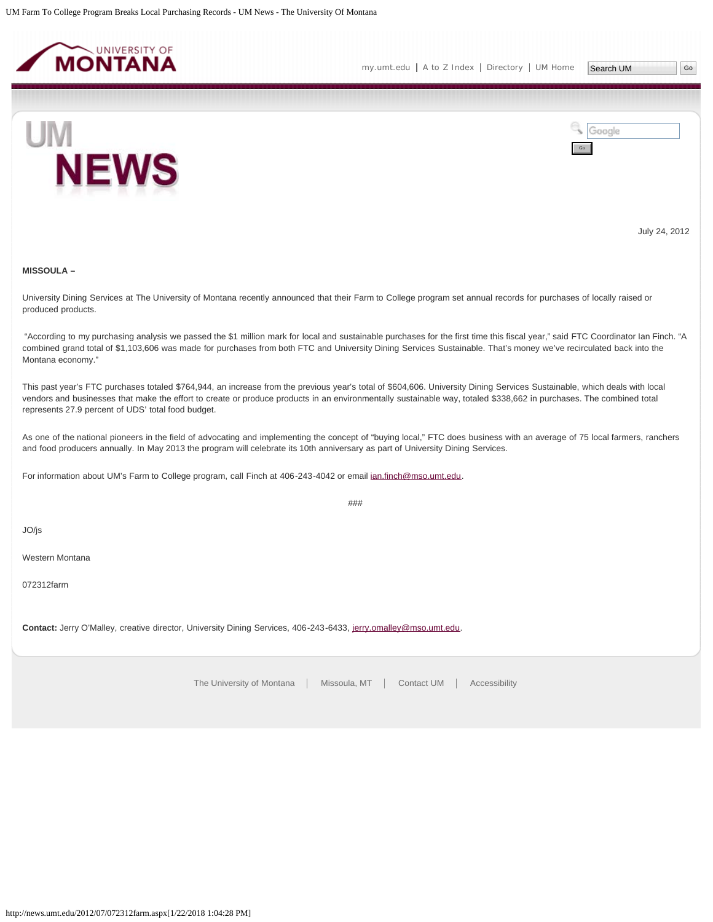<span id="page-15-0"></span>



July 24, 2012

#### **MISSOULA –**

University Dining Services at The University of Montana recently announced that their Farm to College program set annual records for purchases of locally raised or produced products.

"According to my purchasing analysis we passed the \$1 million mark for local and sustainable purchases for the first time this fiscal year," said FTC Coordinator Ian Finch. "A combined grand total of \$1,103,606 was made for purchases from both FTC and University Dining Services Sustainable. That's money we've recirculated back into the Montana economy."

This past year's FTC purchases totaled \$764,944, an increase from the previous year's total of \$604,606. University Dining Services Sustainable, which deals with local vendors and businesses that make the effort to create or produce products in an environmentally sustainable way, totaled \$338,662 in purchases. The combined total represents 27.9 percent of UDS' total food budget.

As one of the national pioneers in the field of advocating and implementing the concept of "buying local," FTC does business with an average of 75 local farmers, ranchers and food producers annually. In May 2013 the program will celebrate its 10th anniversary as part of University Dining Services.

###

For information about UM's Farm to College program, call Finch at 406-243-4042 or email jan.finch@mso.umt.edu.

JO/js

Western Montana

072312farm

**Contact:** Jerry O'Malley, creative director, University Dining Services, 406-243-6433, [jerry.omalley@mso.umt.edu](mailto:jerry.omalley@mso.umt.edu).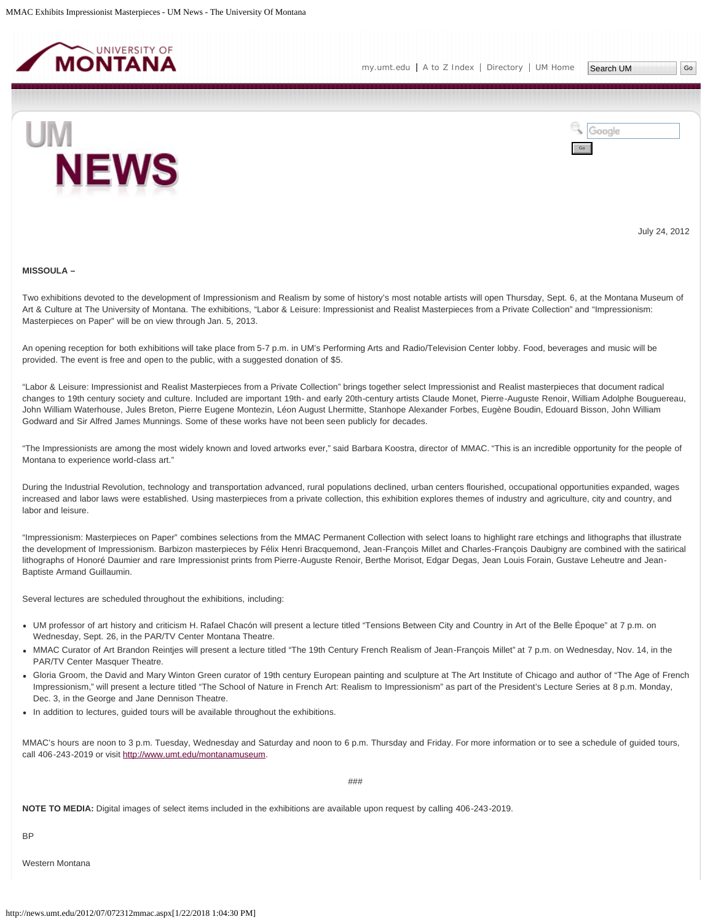<span id="page-16-0"></span>



July 24, 2012

#### **MISSOULA –**

Two exhibitions devoted to the development of Impressionism and Realism by some of history's most notable artists will open Thursday, Sept. 6, at the Montana Museum of Art & Culture at The University of Montana. The exhibitions, "Labor & Leisure: Impressionist and Realist Masterpieces from a Private Collection" and "Impressionism: Masterpieces on Paper" will be on view through Jan. 5, 2013.

An opening reception for both exhibitions will take place from 5-7 p.m. in UM's Performing Arts and Radio/Television Center lobby. Food, beverages and music will be provided. The event is free and open to the public, with a suggested donation of \$5.

"Labor & Leisure: Impressionist and Realist Masterpieces from a Private Collection" brings together select Impressionist and Realist masterpieces that document radical changes to 19th century society and culture. Included are important 19th- and early 20th-century artists Claude Monet, Pierre-Auguste Renoir, William Adolphe Bouguereau, John William Waterhouse, Jules Breton, Pierre Eugene Montezin, Léon August Lhermitte, Stanhope Alexander Forbes, Eugène Boudin, Edouard Bisson, John William Godward and Sir Alfred James Munnings. Some of these works have not been seen publicly for decades.

"The Impressionists are among the most widely known and loved artworks ever," said Barbara Koostra, director of MMAC. "This is an incredible opportunity for the people of Montana to experience world-class art."

During the Industrial Revolution, technology and transportation advanced, rural populations declined, urban centers flourished, occupational opportunities expanded, wages increased and labor laws were established. Using masterpieces from a private collection, this exhibition explores themes of industry and agriculture, city and country, and labor and leisure.

"Impressionism: Masterpieces on Paper" combines selections from the MMAC Permanent Collection with select loans to highlight rare etchings and lithographs that illustrate the development of Impressionism. Barbizon masterpieces by Félix Henri Bracquemond, Jean-François Millet and Charles-François Daubigny are combined with the satirical lithographs of Honoré Daumier and rare Impressionist prints from Pierre-Auguste Renoir, Berthe Morisot, Edgar Degas, Jean Louis Forain, Gustave Leheutre and Jean-Baptiste Armand Guillaumin.

Several lectures are scheduled throughout the exhibitions, including:

- UM professor of art history and criticism H. Rafael Chacón will present a lecture titled "Tensions Between City and Country in Art of the Belle Époque" at 7 p.m. on Wednesday, Sept. 26, in the PAR/TV Center Montana Theatre.
- MMAC Curator of Art Brandon Reintjes will present a lecture titled "The 19th Century French Realism of Jean-François Millet" at 7 p.m. on Wednesday, Nov. 14, in the PAR/TV Center Masquer Theatre.
- Gloria Groom, the David and Mary Winton Green curator of 19th century European painting and sculpture at The Art Institute of Chicago and author of "The Age of French Impressionism," will present a lecture titled "The School of Nature in French Art: Realism to Impressionism" as part of the President's Lecture Series at 8 p.m. Monday, Dec. 3, in the George and Jane Dennison Theatre.
- In addition to lectures, guided tours will be available throughout the exhibitions.

MMAC's hours are noon to 3 p.m. Tuesday, Wednesday and Saturday and noon to 6 p.m. Thursday and Friday. For more information or to see a schedule of guided tours, call 406-243-2019 or visit [http://www.umt.edu/montanamuseum.](http://www.umt.edu/montanamuseum)

###

**NOTE TO MEDIA:** Digital images of select items included in the exhibitions are available upon request by calling 406-243-2019.

BP

Western Montana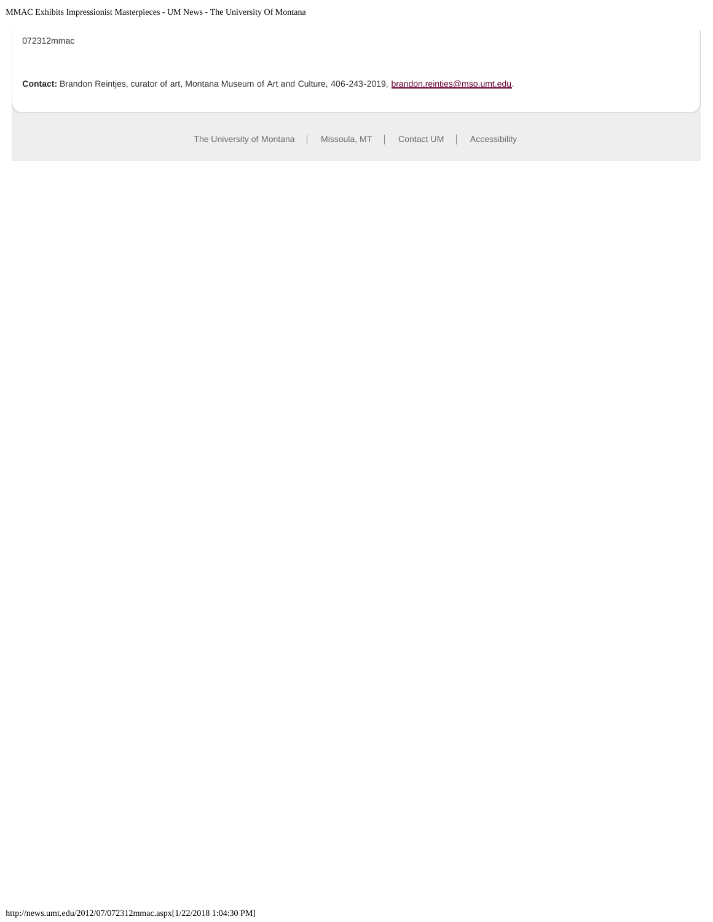072312mmac

Contact: Brandon Reintjes, curator of art, Montana Museum of Art and Culture, 406-243-2019, [brandon.reintjes@mso.umt.edu.](mailto:brandon.reintjes@mso.umt.edu)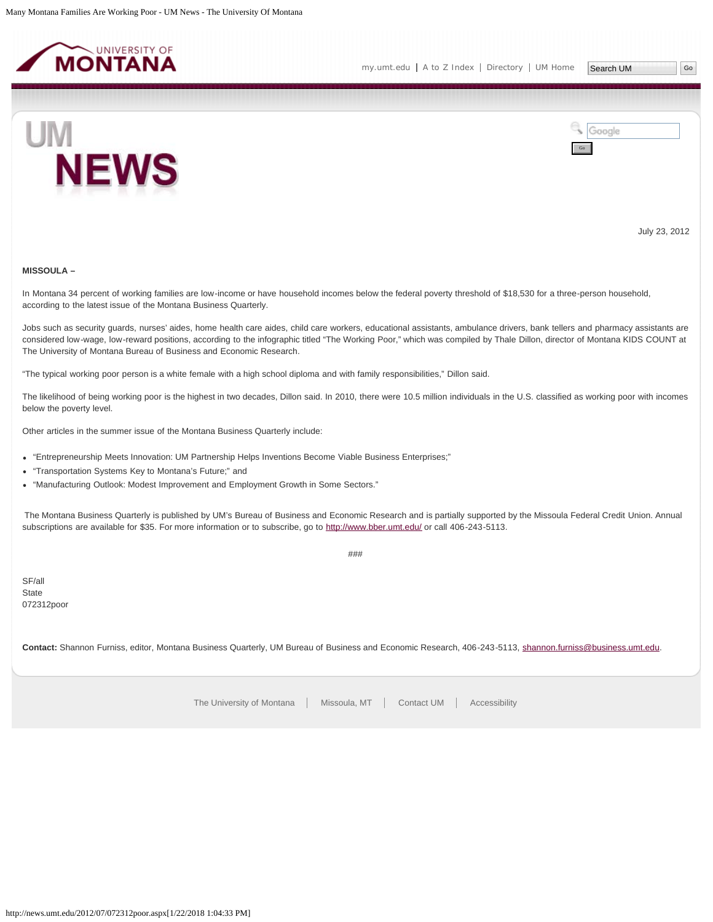<span id="page-18-0"></span>

Search UM



Google Go

July 23, 2012

#### **MISSOULA –**

In Montana 34 percent of working families are low-income or have household incomes below the federal poverty threshold of \$18,530 for a three-person household, according to the latest issue of the Montana Business Quarterly.

Jobs such as security guards, nurses' aides, home health care aides, child care workers, educational assistants, ambulance drivers, bank tellers and pharmacy assistants are considered low-wage, low-reward positions, according to the infographic titled "The Working Poor," which was compiled by Thale Dillon, director of Montana KIDS COUNT at The University of Montana Bureau of Business and Economic Research.

"The typical working poor person is a white female with a high school diploma and with family responsibilities," Dillon said.

The likelihood of being working poor is the highest in two decades, Dillon said. In 2010, there were 10.5 million individuals in the U.S. classified as working poor with incomes below the poverty level.

Other articles in the summer issue of the Montana Business Quarterly include:

"Entrepreneurship Meets Innovation: UM Partnership Helps Inventions Become Viable Business Enterprises;"

- "Transportation Systems Key to Montana's Future;" and
- "Manufacturing Outlook: Modest Improvement and Employment Growth in Some Sectors."

The Montana Business Quarterly is published by UM's Bureau of Business and Economic Research and is partially supported by the Missoula Federal Credit Union. Annual subscriptions are available for \$35. For more information or to subscribe, go to<http://www.bber.umt.edu/>or call 406-243-5113.

###

SF/all State 072312poor

**Contact:** Shannon Furniss, editor, Montana Business Quarterly, UM Bureau of Business and Economic Research, 406-243-5113, [shannon.furniss@business.umt.edu.](mailto:shannon.furniss@business.umt.edu)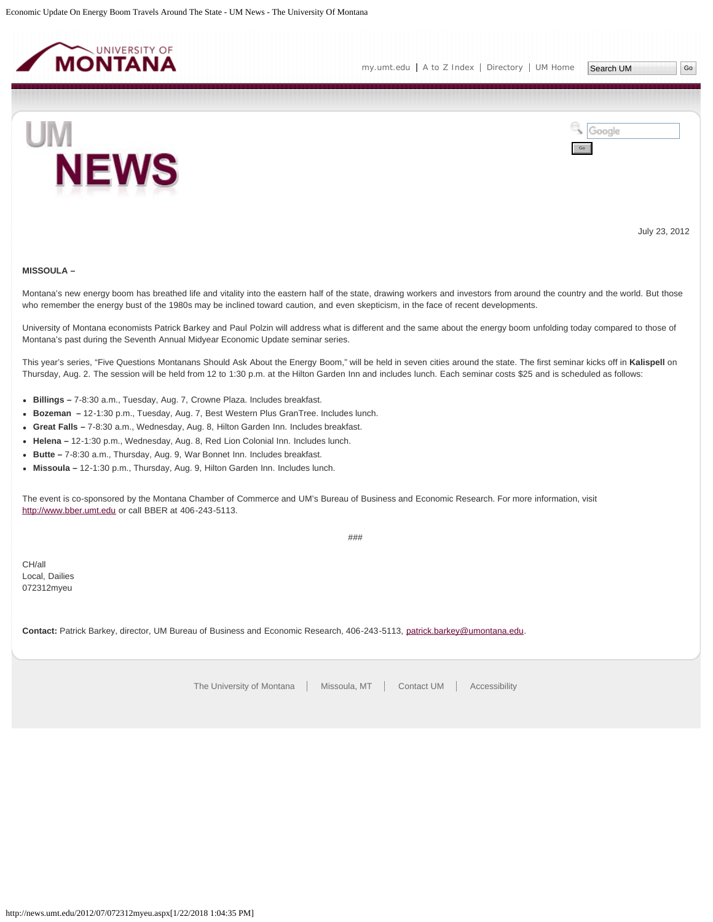<span id="page-19-0"></span>



July 23, 2012

#### **MISSOULA –**

Montana's new energy boom has breathed life and vitality into the eastern half of the state, drawing workers and investors from around the country and the world. But those who remember the energy bust of the 1980s may be inclined toward caution, and even skepticism, in the face of recent developments.

University of Montana economists Patrick Barkey and Paul Polzin will address what is different and the same about the energy boom unfolding today compared to those of Montana's past during the Seventh Annual Midyear Economic Update seminar series.

This year's series, "Five Questions Montanans Should Ask About the Energy Boom," will be held in seven cities around the state. The first seminar kicks off in **Kalispell** on Thursday, Aug. 2. The session will be held from 12 to 1:30 p.m. at the Hilton Garden Inn and includes lunch. Each seminar costs \$25 and is scheduled as follows:

- **Billings –** 7-8:30 a.m., Tuesday, Aug. 7, Crowne Plaza. Includes breakfast.
- **Bozeman –** 12-1:30 p.m., Tuesday, Aug. 7, Best Western Plus GranTree. Includes lunch.
- **Great Falls –** 7-8:30 a.m., Wednesday, Aug. 8, Hilton Garden Inn. Includes breakfast.
- **Helena –** 12-1:30 p.m., Wednesday, Aug. 8, Red Lion Colonial Inn. Includes lunch.
- **Butte –** 7-8:30 a.m., Thursday, Aug. 9, War Bonnet Inn. Includes breakfast.
- **Missoula –** 12-1:30 p.m., Thursday, Aug. 9, Hilton Garden Inn. Includes lunch.

The event is co-sponsored by the Montana Chamber of Commerce and UM's Bureau of Business and Economic Research. For more information, visit [http://www.bber.umt.edu](http://www.bber.umt.edu/) or call BBER at 406-243-5113.

###

CH/all Local, Dailies 072312myeu

**Contact:** Patrick Barkey, director, UM Bureau of Business and Economic Research, 406-243-5113, [patrick.barkey@umontana.edu](mailto:patrick.barkey@umontana.edu).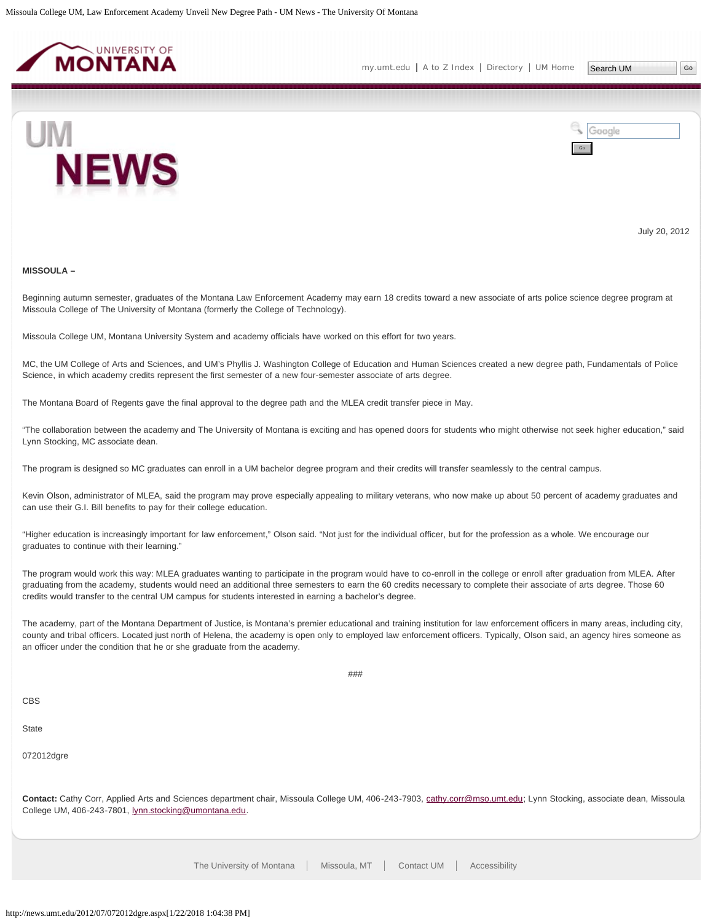<span id="page-20-0"></span>

Go

Google



July 20, 2012

#### **MISSOULA –**

Beginning autumn semester, graduates of the Montana Law Enforcement Academy may earn 18 credits toward a new associate of arts police science degree program at Missoula College of The University of Montana (formerly the College of Technology).

Missoula College UM, Montana University System and academy officials have worked on this effort for two years.

MC, the UM College of Arts and Sciences, and UM's Phyllis J. Washington College of Education and Human Sciences created a new degree path, Fundamentals of Police Science, in which academy credits represent the first semester of a new four-semester associate of arts degree.

The Montana Board of Regents gave the final approval to the degree path and the MLEA credit transfer piece in May.

"The collaboration between the academy and The University of Montana is exciting and has opened doors for students who might otherwise not seek higher education," said Lynn Stocking, MC associate dean.

The program is designed so MC graduates can enroll in a UM bachelor degree program and their credits will transfer seamlessly to the central campus.

Kevin Olson, administrator of MLEA, said the program may prove especially appealing to military veterans, who now make up about 50 percent of academy graduates and can use their G.I. Bill benefits to pay for their college education.

"Higher education is increasingly important for law enforcement," Olson said. "Not just for the individual officer, but for the profession as a whole. We encourage our graduates to continue with their learning."

The program would work this way: MLEA graduates wanting to participate in the program would have to co-enroll in the college or enroll after graduation from MLEA. After graduating from the academy, students would need an additional three semesters to earn the 60 credits necessary to complete their associate of arts degree. Those 60 credits would transfer to the central UM campus for students interested in earning a bachelor's degree.

The academy, part of the Montana Department of Justice, is Montana's premier educational and training institution for law enforcement officers in many areas, including city, county and tribal officers. Located just north of Helena, the academy is open only to employed law enforcement officers. Typically, Olson said, an agency hires someone as an officer under the condition that he or she graduate from the academy.

###

CBS

**State** 

072012dgre

**Contact:** Cathy Corr, Applied Arts and Sciences department chair, Missoula College UM, 406-243-7903, [cathy.corr@mso.umt.edu](mailto:cathy.corr@mso.umt.edu); Lynn Stocking, associate dean, Missoula College UM, 406-243-7801, [lynn.stocking@umontana.edu.](mailto:lynn.stocking@umontana.edu)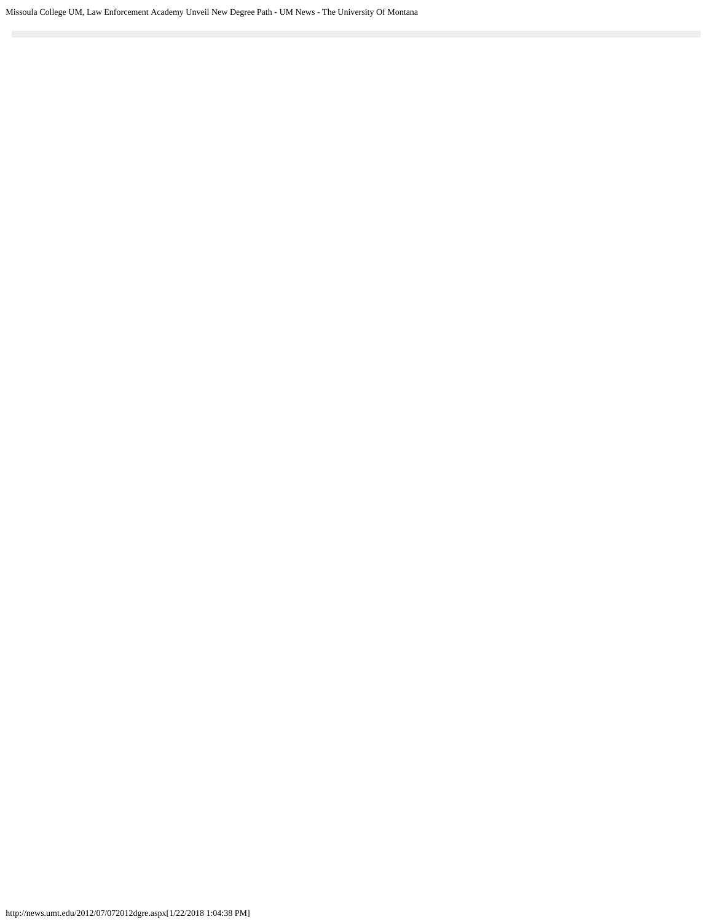Missoula College UM, Law Enforcement Academy Unveil New Degree Path - UM News - The University Of Montana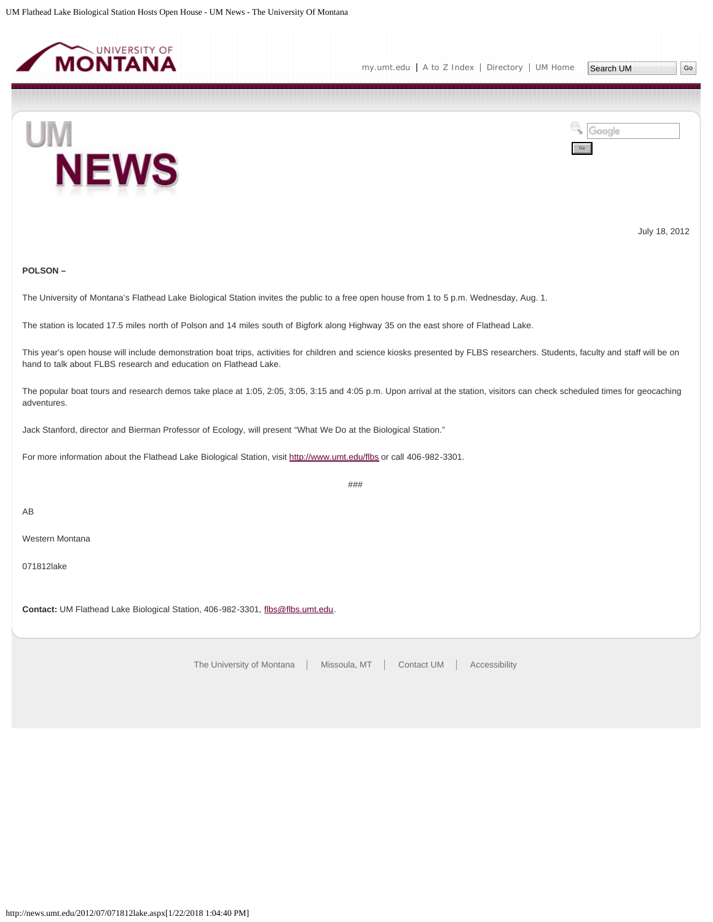<span id="page-22-0"></span>

**NEWS** 



July 18, 2012

#### **POLSON –**

UM

The University of Montana's Flathead Lake Biological Station invites the public to a free open house from 1 to 5 p.m. Wednesday, Aug. 1.

The station is located 17.5 miles north of Polson and 14 miles south of Bigfork along Highway 35 on the east shore of Flathead Lake.

This year's open house will include demonstration boat trips, activities for children and science kiosks presented by FLBS researchers. Students, faculty and staff will be on hand to talk about FLBS research and education on Flathead Lake.

The popular boat tours and research demos take place at 1:05, 2:05, 3:05, 3:15 and 4:05 p.m. Upon arrival at the station, visitors can check scheduled times for geocaching adventures.

Jack Stanford, director and Bierman Professor of Ecology, will present "What We Do at the Biological Station."

For more information about the Flathead Lake Biological Station, visit <http://www.umt.edu/flbs>or call 406-982-3301.

###

AB

Western Montana

071812lake

**Contact:** UM Flathead Lake Biological Station, 406-982-3301, [flbs@flbs.umt.edu.](mailto:flbs@flbs.umt.edu)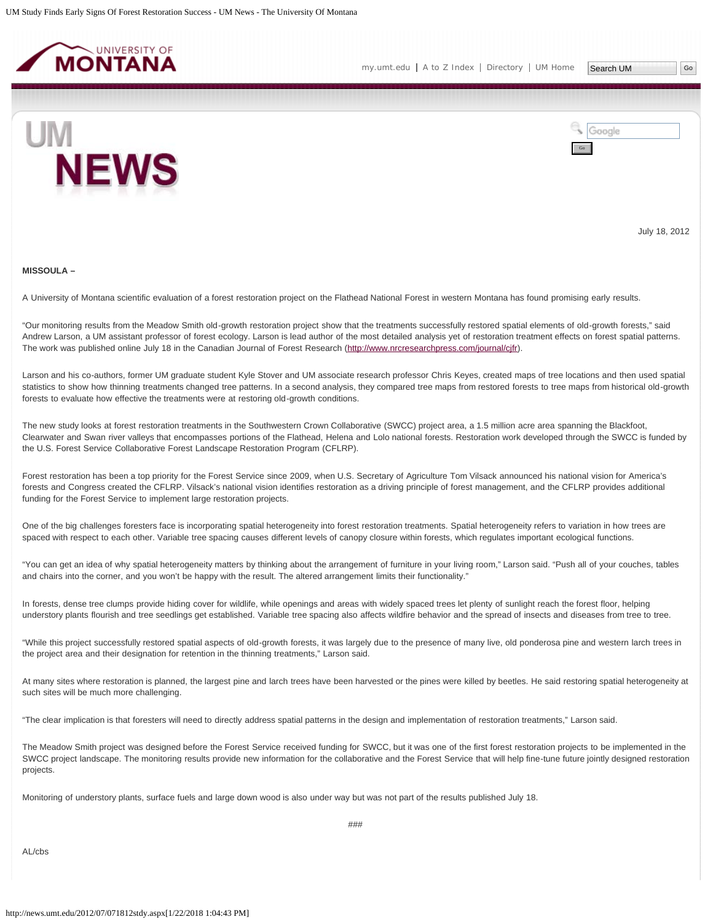<span id="page-23-0"></span>

Search UM



Google Go

July 18, 2012

#### **MISSOULA –**

A University of Montana scientific evaluation of a forest restoration project on the Flathead National Forest in western Montana has found promising early results.

"Our monitoring results from the Meadow Smith old-growth restoration project show that the treatments successfully restored spatial elements of old-growth forests," said Andrew Larson, a UM assistant professor of forest ecology. Larson is lead author of the most detailed analysis yet of restoration treatment effects on forest spatial patterns. The work was published online July 18 in the Canadian Journal of Forest Research [\(http://www.nrcresearchpress.com/journal/cjfr](http://www.nrcresearchpress.com/journal/cjfr)).

Larson and his co-authors, former UM graduate student Kyle Stover and UM associate research professor Chris Keyes, created maps of tree locations and then used spatial statistics to show how thinning treatments changed tree patterns. In a second analysis, they compared tree maps from restored forests to tree maps from historical old-growth forests to evaluate how effective the treatments were at restoring old-growth conditions.

The new study looks at forest restoration treatments in the Southwestern Crown Collaborative (SWCC) project area, a 1.5 million acre area spanning the Blackfoot, Clearwater and Swan river valleys that encompasses portions of the Flathead, Helena and Lolo national forests. Restoration work developed through the SWCC is funded by the U.S. Forest Service Collaborative Forest Landscape Restoration Program (CFLRP).

Forest restoration has been a top priority for the Forest Service since 2009, when U.S. Secretary of Agriculture Tom Vilsack announced his national vision for America's forests and Congress created the CFLRP. Vilsack's national vision identifies restoration as a driving principle of forest management, and the CFLRP provides additional funding for the Forest Service to implement large restoration projects.

One of the big challenges foresters face is incorporating spatial heterogeneity into forest restoration treatments. Spatial heterogeneity refers to variation in how trees are spaced with respect to each other. Variable tree spacing causes different levels of canopy closure within forests, which regulates important ecological functions.

"You can get an idea of why spatial heterogeneity matters by thinking about the arrangement of furniture in your living room," Larson said. "Push all of your couches, tables and chairs into the corner, and you won't be happy with the result. The altered arrangement limits their functionality."

In forests, dense tree clumps provide hiding cover for wildlife, while openings and areas with widely spaced trees let plenty of sunlight reach the forest floor, helping understory plants flourish and tree seedlings get established. Variable tree spacing also affects wildfire behavior and the spread of insects and diseases from tree to tree.

"While this project successfully restored spatial aspects of old-growth forests, it was largely due to the presence of many live, old ponderosa pine and western larch trees in the project area and their designation for retention in the thinning treatments," Larson said.

At many sites where restoration is planned, the largest pine and larch trees have been harvested or the pines were killed by beetles. He said restoring spatial heterogeneity at such sites will be much more challenging.

"The clear implication is that foresters will need to directly address spatial patterns in the design and implementation of restoration treatments," Larson said.

The Meadow Smith project was designed before the Forest Service received funding for SWCC, but it was one of the first forest restoration projects to be implemented in the SWCC project landscape. The monitoring results provide new information for the collaborative and the Forest Service that will help fine-tune future jointly designed restoration projects.

Monitoring of understory plants, surface fuels and large down wood is also under way but was not part of the results published July 18.

AL/cbs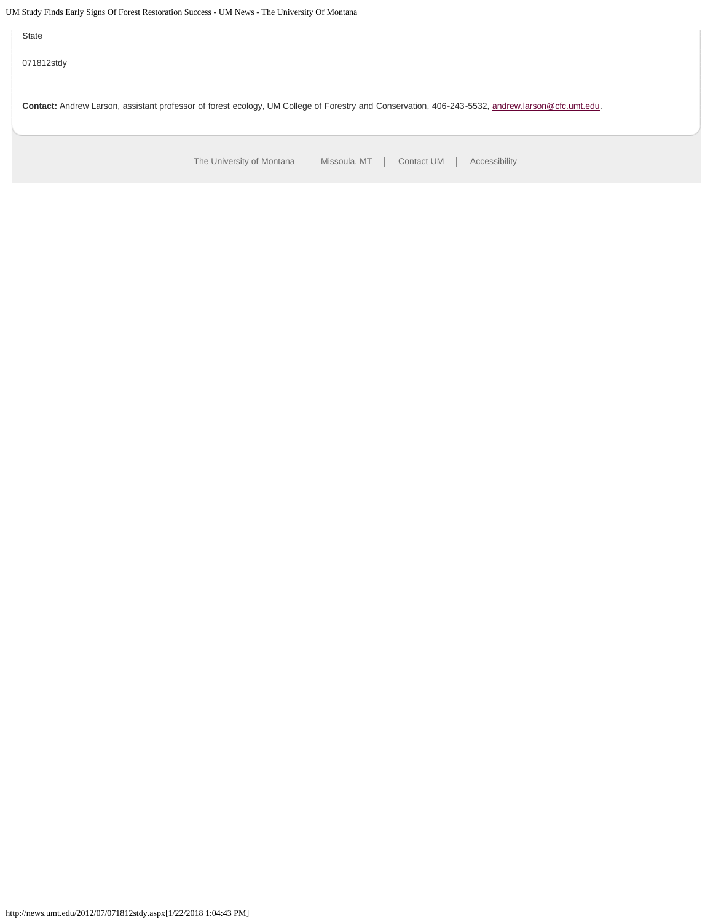UM Study Finds Early Signs Of Forest Restoration Success - UM News - The University Of Montana

State

071812stdy

**Contact:** Andrew Larson, assistant professor of forest ecology, UM College of Forestry and Conservation, 406-243-5532, [andrew.larson@cfc.umt.edu](mailto:andrew.larson@cfc.umt.edu).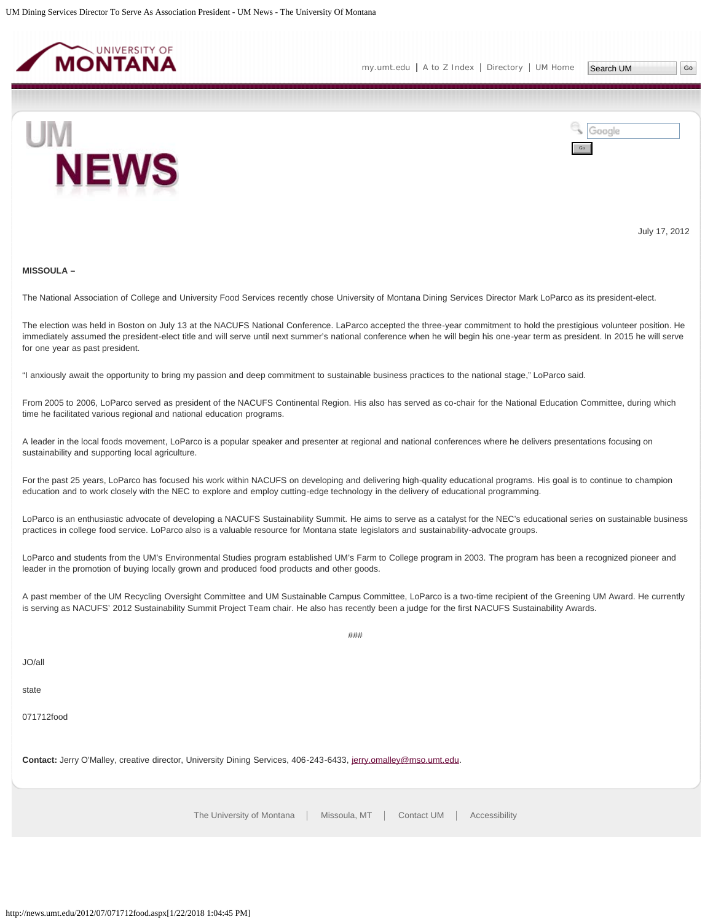<span id="page-25-0"></span>



July 17, 2012

#### **MISSOULA –**

The National Association of College and University Food Services recently chose University of Montana Dining Services Director Mark LoParco as its president-elect.

The election was held in Boston on July 13 at the NACUFS National Conference. LaParco accepted the three-year commitment to hold the prestigious volunteer position. He immediately assumed the president-elect title and will serve until next summer's national conference when he will begin his one-year term as president. In 2015 he will serve for one year as past president.

"I anxiously await the opportunity to bring my passion and deep commitment to sustainable business practices to the national stage," LoParco said.

From 2005 to 2006, LoParco served as president of the NACUFS Continental Region. His also has served as co-chair for the National Education Committee, during which time he facilitated various regional and national education programs.

A leader in the local foods movement, LoParco is a popular speaker and presenter at regional and national conferences where he delivers presentations focusing on sustainability and supporting local agriculture.

For the past 25 years, LoParco has focused his work within NACUFS on developing and delivering high-quality educational programs. His goal is to continue to champion education and to work closely with the NEC to explore and employ cutting-edge technology in the delivery of educational programming.

LoParco is an enthusiastic advocate of developing a NACUFS Sustainability Summit. He aims to serve as a catalyst for the NEC's educational series on sustainable business practices in college food service. LoParco also is a valuable resource for Montana state legislators and sustainability-advocate groups.

LoParco and students from the UM's Environmental Studies program established UM's Farm to College program in 2003. The program has been a recognized pioneer and leader in the promotion of buying locally grown and produced food products and other goods.

A past member of the UM Recycling Oversight Committee and UM Sustainable Campus Committee, LoParco is a two-time recipient of the Greening UM Award. He currently is serving as NACUFS' 2012 Sustainability Summit Project Team chair. He also has recently been a judge for the first NACUFS Sustainability Awards.

###

JO/all

state

071712food

**Contact:** Jerry O'Malley, creative director, University Dining Services, 406-243-6433, [jerry.omalley@mso.umt.edu](mailto:jerry.omalley@mso.umt.edu).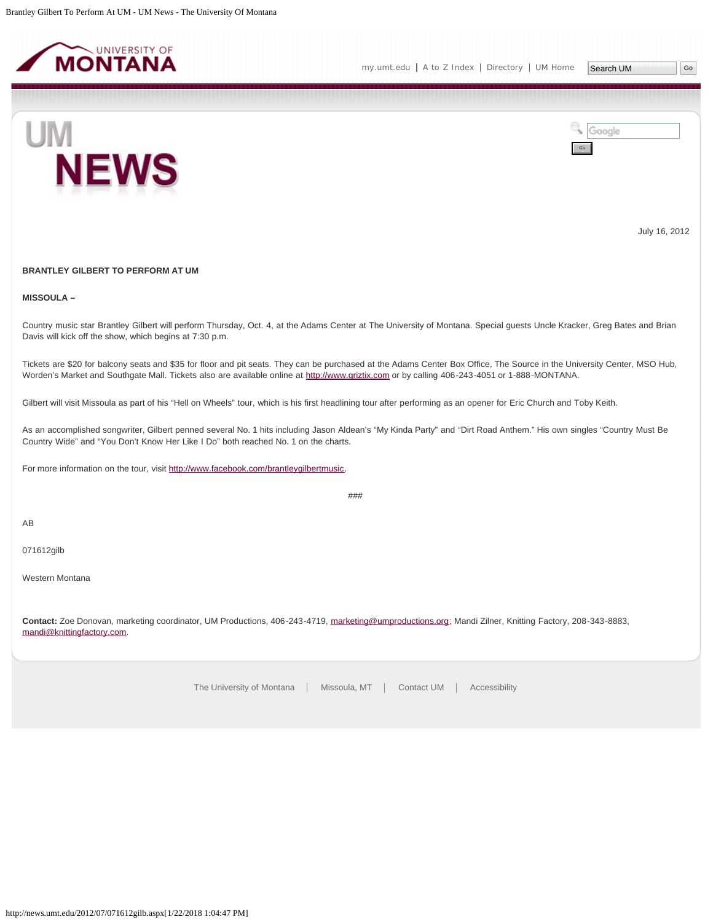<span id="page-26-0"></span>



July 16, 2012

#### **BRANTLEY GILBERT TO PERFORM AT UM**

#### **MISSOULA –**

Country music star Brantley Gilbert will perform Thursday, Oct. 4, at the Adams Center at The University of Montana. Special guests Uncle Kracker, Greg Bates and Brian Davis will kick off the show, which begins at 7:30 p.m.

Tickets are \$20 for balcony seats and \$35 for floor and pit seats. They can be purchased at the Adams Center Box Office, The Source in the University Center, MSO Hub, Worden's Market and Southgate Mall. Tickets also are available online at [http://www.griztix.com](http://www.griztix.com/) or by calling 406-243-4051 or 1-888-MONTANA.

Gilbert will visit Missoula as part of his "Hell on Wheels" tour, which is his first headlining tour after performing as an opener for Eric Church and Toby Keith.

As an accomplished songwriter, Gilbert penned several No. 1 hits including Jason Aldean's "My Kinda Party" and "Dirt Road Anthem." His own singles "Country Must Be Country Wide" and "You Don't Know Her Like I Do" both reached No. 1 on the charts.

For more information on the tour, visit<http://www.facebook.com/brantleygilbertmusic>.

###

AB

071612gilb

Western Montana

**Contact:** Zoe Donovan, marketing coordinator, UM Productions, 406-243-4719, [marketing@umproductions.org](mailto:marketing@umproductions.org); Mandi Zilner, Knitting Factory, 208-343-8883, [mandi@knittingfactory.com](mailto:mandi@knittingfactory.com).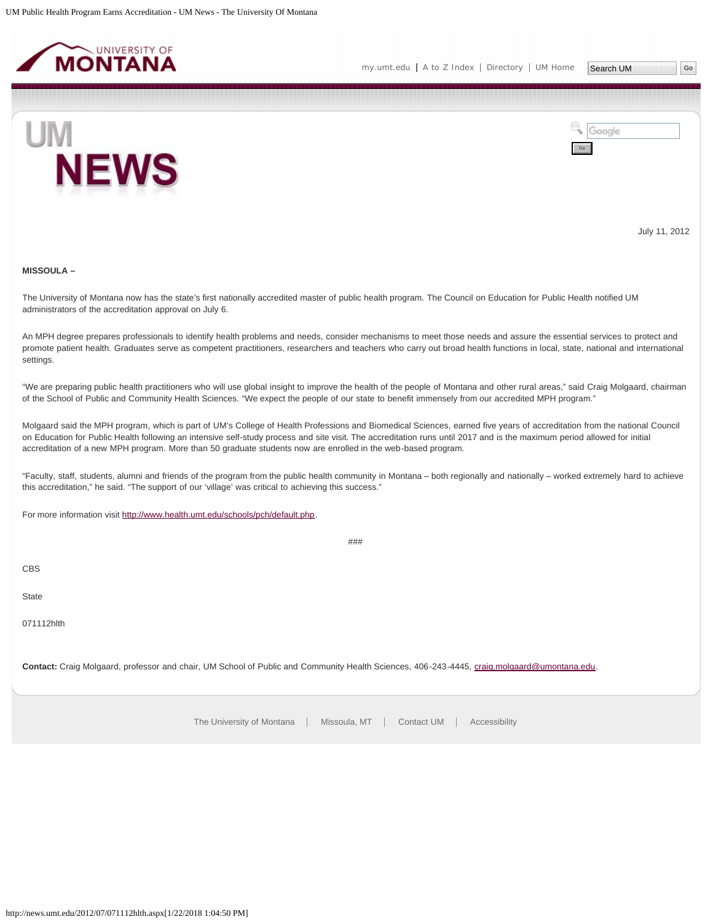<span id="page-27-0"></span>



July 11, 2012

#### **MISSOULA –**

The University of Montana now has the state's first nationally accredited master of public health program. The Council on Education for Public Health notified UM administrators of the accreditation approval on July 6.

An MPH degree prepares professionals to identify health problems and needs, consider mechanisms to meet those needs and assure the essential services to protect and promote patient health. Graduates serve as competent practitioners, researchers and teachers who carry out broad health functions in local, state, national and international settings.

"We are preparing public health practitioners who will use global insight to improve the health of the people of Montana and other rural areas," said Craig Molgaard, chairman of the School of Public and Community Health Sciences. "We expect the people of our state to benefit immensely from our accredited MPH program."

Molgaard said the MPH program, which is part of UM's College of Health Professions and Biomedical Sciences, earned five years of accreditation from the national Council on Education for Public Health following an intensive self-study process and site visit. The accreditation runs until 2017 and is the maximum period allowed for initial accreditation of a new MPH program. More than 50 graduate students now are enrolled in the web-based program.

"Faculty, staff, students, alumni and friends of the program from the public health community in Montana – both regionally and nationally – worked extremely hard to achieve this accreditation," he said. "The support of our 'village' was critical to achieving this success."

###

For more information visit [http://www.health.umt.edu/schools/pch/default.php.](http://www.health.umt.edu/schools/pch/default.php)

CBS

#### **State**

071112hlth

**Contact:** Craig Molgaard, professor and chair, UM School of Public and Community Health Sciences, 406-243-4445, [craig.molgaard@umontana.edu.](mailto:craig.molgaard@umontana.edu)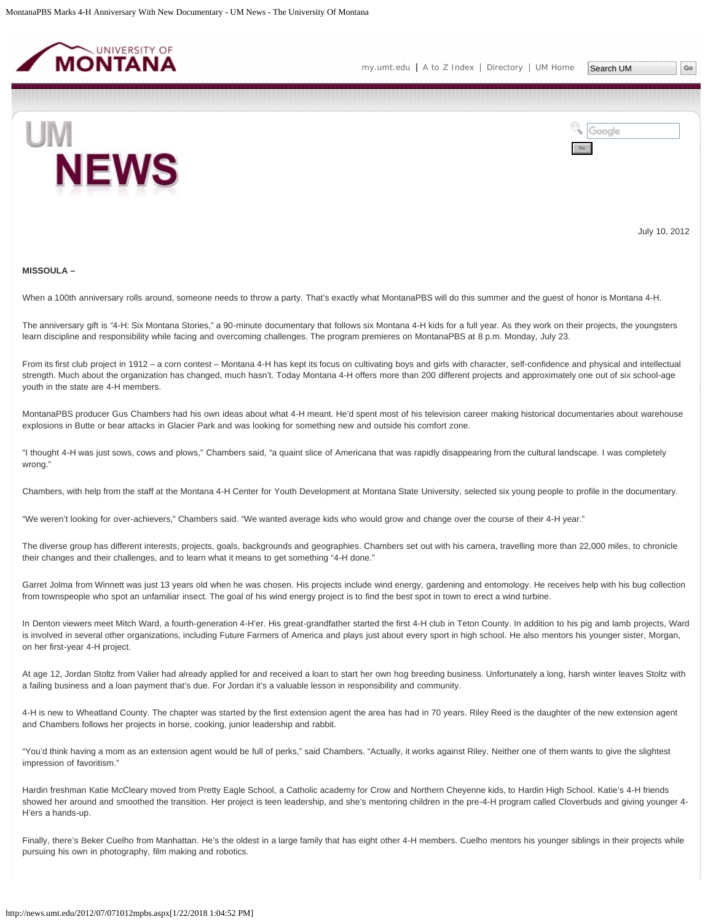<span id="page-28-0"></span>



July 10, 2012

#### **MISSOULA –**

When a 100th anniversary rolls around, someone needs to throw a party. That's exactly what MontanaPBS will do this summer and the guest of honor is Montana 4-H.

The anniversary gift is *"*4-H: Six Montana Stories," a 90-minute documentary that follows six Montana 4-H kids for a full year. As they work on their projects, the youngsters learn discipline and responsibility while facing and overcoming challenges. The program premieres on MontanaPBS at 8 p.m. Monday, July 23.

From its first club project in 1912 – a corn contest – Montana 4-H has kept its focus on cultivating boys and girls with character, self-confidence and physical and intellectual strength. Much about the organization has changed, much hasn't. Today Montana 4-H offers more than 200 different projects and approximately one out of six school-age youth in the state are 4-H members.

MontanaPBS producer Gus Chambers had his own ideas about what 4-H meant. He'd spent most of his television career making historical documentaries about warehouse explosions in Butte or bear attacks in Glacier Park and was looking for something new and outside his comfort zone.

"I thought 4-H was just sows, cows and plows," Chambers said, "a quaint slice of Americana that was rapidly disappearing from the cultural landscape. I was completely wrong."

Chambers, with help from the staff at the Montana 4-H Center for Youth Development at Montana State University, selected six young people to profile in the documentary.

"We weren't looking for over-achievers," Chambers said. "We wanted average kids who would grow and change over the course of their 4-H year."

The diverse group has different interests, projects, goals, backgrounds and geographies. Chambers set out with his camera, travelling more than 22,000 miles, to chronicle their changes and their challenges, and to learn what it means to get something "4-H done."

Garret Jolma from Winnett was just 13 years old when he was chosen. His projects include wind energy, gardening and entomology. He receives help with his bug collection from townspeople who spot an unfamiliar insect. The goal of his wind energy project is to find the best spot in town to erect a wind turbine.

In Denton viewers meet Mitch Ward, a fourth-generation 4-H'er. His great-grandfather started the first 4-H club in Teton County. In addition to his pig and lamb projects, Ward is involved in several other organizations, including Future Farmers of America and plays just about every sport in high school. He also mentors his younger sister, Morgan, on her first-year 4-H project.

At age 12, Jordan Stoltz from Valier had already applied for and received a loan to start her own hog breeding business. Unfortunately a long, harsh winter leaves Stoltz with a failing business and a loan payment that's due. For Jordan it's a valuable lesson in responsibility and community.

4-H is new to Wheatland County. The chapter was started by the first extension agent the area has had in 70 years. Riley Reed is the daughter of the new extension agent and Chambers follows her projects in horse, cooking, junior leadership and rabbit.

"You'd think having a mom as an extension agent would be full of perks," said Chambers. "Actually, it works against Riley. Neither one of them wants to give the slightest impression of favoritism."

Hardin freshman Katie McCleary moved from Pretty Eagle School, a Catholic academy for Crow and Northern Cheyenne kids, to Hardin High School. Katie's 4-H friends showed her around and smoothed the transition. Her project is teen leadership, and she's mentoring children in the pre-4-H program called Cloverbuds and giving younger 4- H'ers a hands-up.

Finally, there's Beker Cuelho from Manhattan. He's the oldest in a large family that has eight other 4-H members. Cuelho mentors his younger siblings in their projects while pursuing his own in photography, film making and robotics.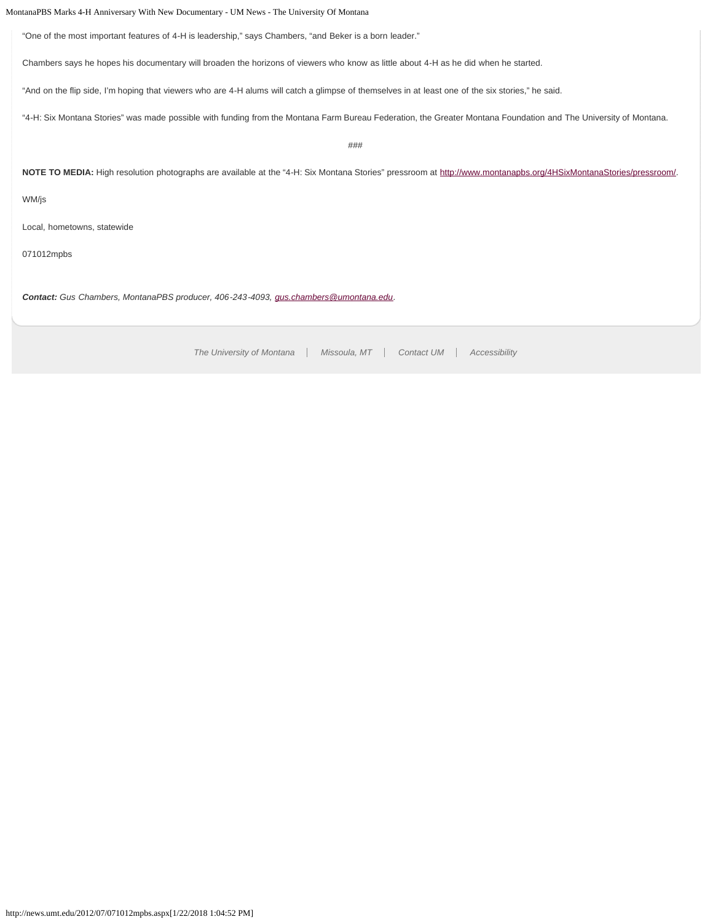MontanaPBS Marks 4-H Anniversary With New Documentary - UM News - The University Of Montana

"One of the most important features of 4-H is leadership," says Chambers, "and Beker is a born leader."

Chambers says he hopes his documentary will broaden the horizons of viewers who know as little about 4-H as he did when he started.

"And on the flip side, I'm hoping that viewers who are 4-H alums will catch a glimpse of themselves in at least one of the six stories," he said.

"4-H: Six Montana Stories" was made possible with funding from the Montana Farm Bureau Federation, the Greater Montana Foundation and The University of Montana.

###

**NOTE TO MEDIA:** High resolution photographs are available at the "4-H: Six Montana Stories" pressroom at [http://www.montanapbs.org/4HSixMontanaStories/pressroom/.](http://www.montanapbs.org/4HSixMontanaStories/pressroom/)

WM/js

Local, hometowns, statewide

071012mpbs

*Contact: Gus Chambers, MontanaPBS producer, 406-243-4093, [gus.chambers@umontana.edu.](mailto:gus.chambers@umontana.edu)*

*[The University of Montana](http://www.umt.edu/) Missoula, MT [Contact UM](http://www.umt.edu/comments) [Accessibility](http://www.umt.edu/home/accessibility)*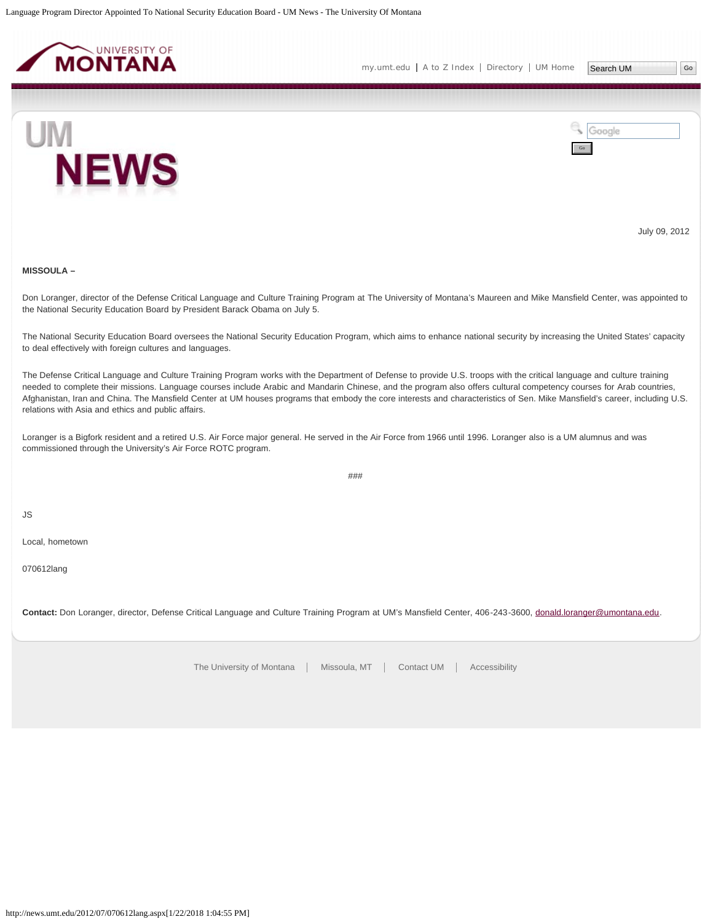<span id="page-30-0"></span>





July 09, 2012

#### **MISSOULA –**

Don Loranger, director of the Defense Critical Language and Culture Training Program at The University of Montana's Maureen and Mike Mansfield Center, was appointed to the National Security Education Board by President Barack Obama on July 5.

The National Security Education Board oversees the National Security Education Program, which aims to enhance national security by increasing the United States' capacity to deal effectively with foreign cultures and languages.

The Defense Critical Language and Culture Training Program works with the Department of Defense to provide U.S. troops with the critical language and culture training needed to complete their missions. Language courses include Arabic and Mandarin Chinese, and the program also offers cultural competency courses for Arab countries, Afghanistan, Iran and China. The Mansfield Center at UM houses programs that embody the core interests and characteristics of Sen. Mike Mansfield's career, including U.S. relations with Asia and ethics and public affairs.

Loranger is a Bigfork resident and a retired U.S. Air Force major general. He served in the Air Force from 1966 until 1996. Loranger also is a UM alumnus and was commissioned through the University's Air Force ROTC program.

###

JS

Local, hometown

070612lang

**Contact:** Don Loranger, director, Defense Critical Language and Culture Training Program at UM's Mansfield Center, 406-243-3600, [donald.loranger@umontana.edu.](mailto:donald.loranger@umontana.edu)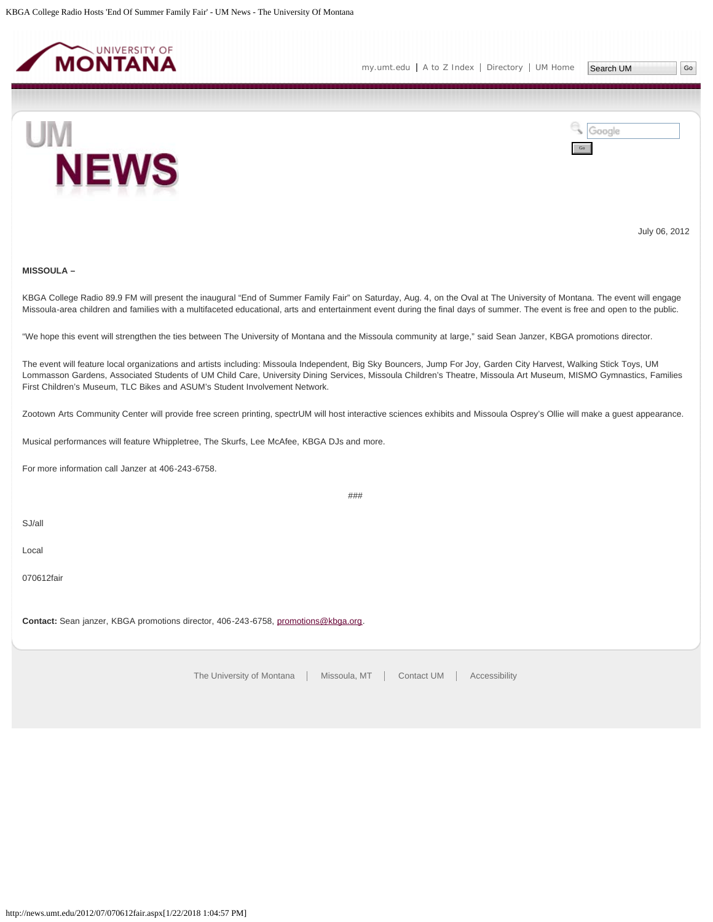<span id="page-31-0"></span>



July 06, 2012

#### **MISSOULA –**

KBGA College Radio 89.9 FM will present the inaugural "End of Summer Family Fair" on Saturday, Aug. 4, on the Oval at The University of Montana. The event will engage Missoula-area children and families with a multifaceted educational, arts and entertainment event during the final days of summer. The event is free and open to the public.

"We hope this event will strengthen the ties between The University of Montana and the Missoula community at large," said Sean Janzer, KBGA promotions director.

The event will feature local organizations and artists including: Missoula Independent, Big Sky Bouncers, Jump For Joy, Garden City Harvest, Walking Stick Toys, UM Lommasson Gardens, Associated Students of UM Child Care, University Dining Services, Missoula Children's Theatre, Missoula Art Museum, MISMO Gymnastics, Families First Children's Museum, TLC Bikes and ASUM's Student Involvement Network.

Zootown Arts Community Center will provide free screen printing, spectrUM will host interactive sciences exhibits and Missoula Osprey's Ollie will make a guest appearance.

###

Musical performances will feature Whippletree, The Skurfs, Lee McAfee, KBGA DJs and more.

For more information call Janzer at 406-243-6758.

SJ/all

Local

070612fair

**Contact:** Sean janzer, KBGA promotions director, 406-243-6758, [promotions@kbga.org](mailto:promotions@kbga.org).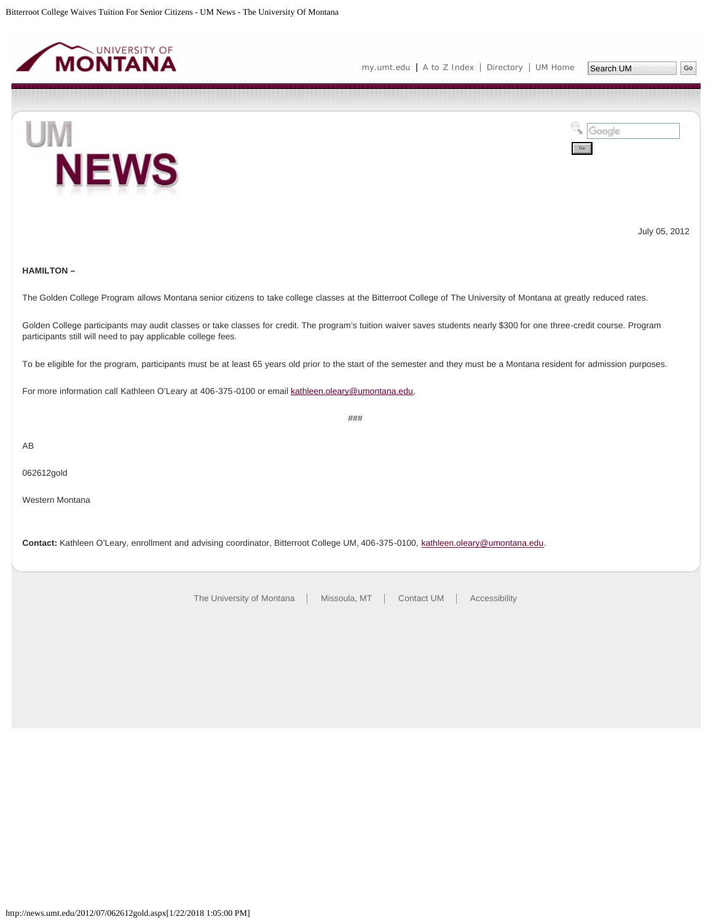<span id="page-32-0"></span>



July 05, 2012

#### **HAMILTON –**

The Golden College Program allows Montana senior citizens to take college classes at the Bitterroot College of The University of Montana at greatly reduced rates.

Golden College participants may audit classes or take classes for credit. The program's tuition waiver saves students nearly \$300 for one three-credit course. Program participants still will need to pay applicable college fees.

To be eligible for the program, participants must be at least 65 years old prior to the start of the semester and they must be a Montana resident for admission purposes.

For more information call Kathleen O'Leary at 406-375-0100 or email [kathleen.oleary@umontana.edu](mailto:kathleen.oleary@umontana.edu).

###

AB

062612gold

Western Montana

**Contact:** Kathleen O'Leary, enrollment and advising coordinator, Bitterroot College UM, 406-375-0100, [kathleen.oleary@umontana.edu](mailto:kathleen.oleary@umontana.edu).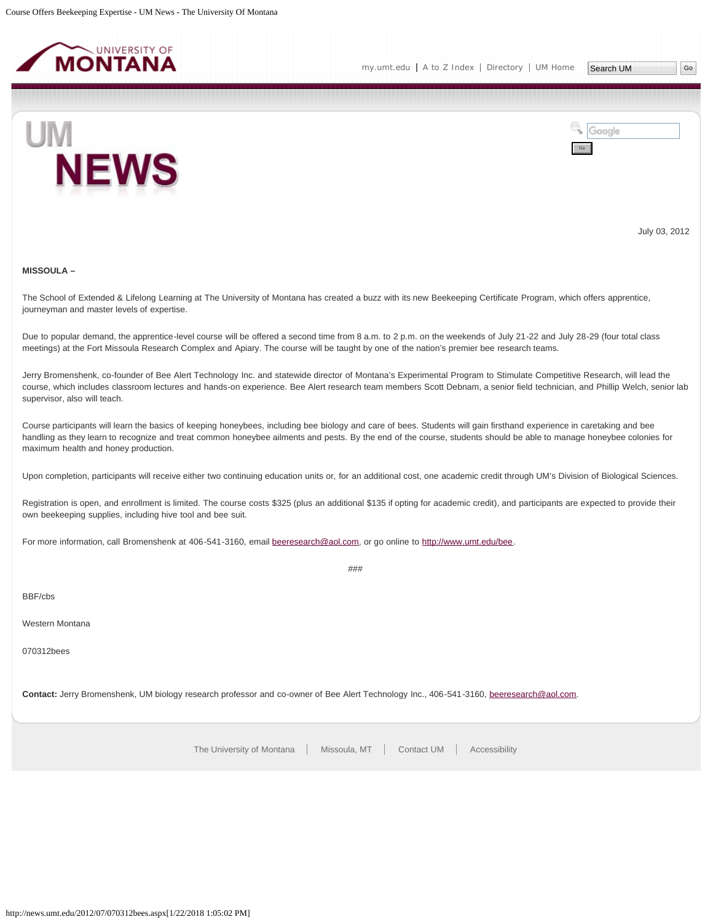<span id="page-33-0"></span>



July 03, 2012

#### **MISSOULA –**

The School of Extended & Lifelong Learning at The University of Montana has created a buzz with its new Beekeeping Certificate Program, which offers apprentice, journeyman and master levels of expertise.

Due to popular demand, the apprentice-level course will be offered a second time from 8 a.m. to 2 p.m. on the weekends of July 21-22 and July 28-29 (four total class meetings) at the Fort Missoula Research Complex and Apiary. The course will be taught by one of the nation's premier bee research teams.

Jerry Bromenshenk, co-founder of Bee Alert Technology Inc. and statewide director of Montana's Experimental Program to Stimulate Competitive Research, will lead the course, which includes classroom lectures and hands-on experience. Bee Alert research team members Scott Debnam, a senior field technician, and Phillip Welch, senior lab supervisor, also will teach.

Course participants will learn the basics of keeping honeybees, including bee biology and care of bees. Students will gain firsthand experience in caretaking and bee handling as they learn to recognize and treat common honeybee ailments and pests. By the end of the course, students should be able to manage honeybee colonies for maximum health and honey production.

Upon completion, participants will receive either two continuing education units or, for an additional cost, one academic credit through UM's Division of Biological Sciences.

Registration is open, and enrollment is limited. The course costs \$325 (plus an additional \$135 if opting for academic credit), and participants are expected to provide their own beekeeping supplies, including hive tool and bee suit.

###

For more information, call Bromenshenk at 406-541-3160, email [beeresearch@aol.com,](mailto:beeresearch@aol.com) or go online to [http://www.umt.edu/bee.](http://www.umt.edu/bee)

BBF/cbs

Western Montana

070312bees

**Contact:** Jerry Bromenshenk, UM biology research professor and co-owner of Bee Alert Technology Inc., 406-541-3160, [beeresearch@aol.com.](mailto:beeresearch@aol.com)